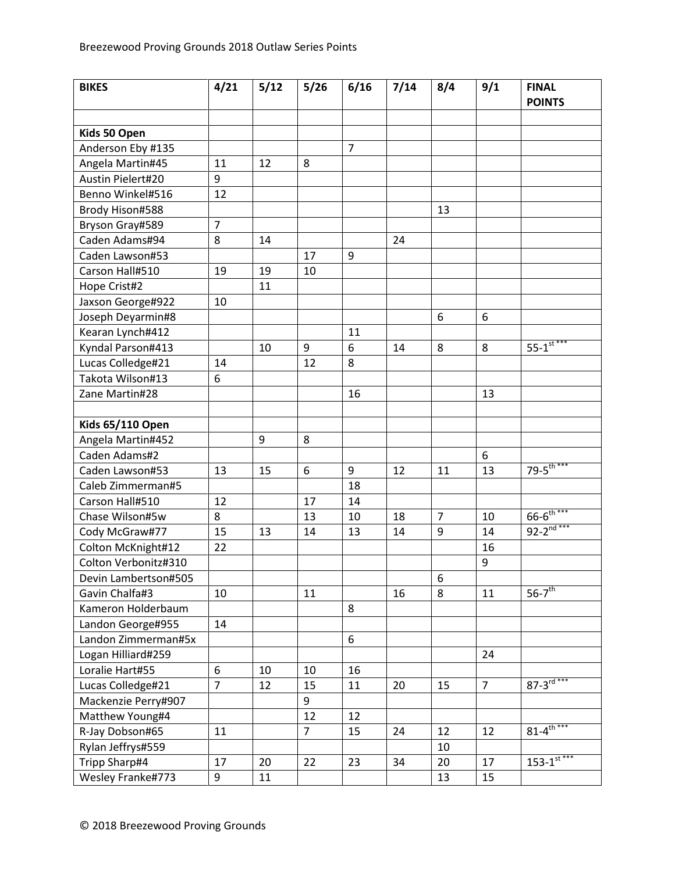| <b>BIKES</b>            | 4/21           | 5/12 | $5/26$         | 6/16           | 7/14 | 8/4            | 9/1            | <b>FINAL</b><br><b>POINTS</b> |
|-------------------------|----------------|------|----------------|----------------|------|----------------|----------------|-------------------------------|
|                         |                |      |                |                |      |                |                |                               |
| Kids 50 Open            |                |      |                |                |      |                |                |                               |
| Anderson Eby #135       |                |      |                | $\overline{7}$ |      |                |                |                               |
| Angela Martin#45        | 11             | 12   | 8              |                |      |                |                |                               |
| Austin Pielert#20       | 9              |      |                |                |      |                |                |                               |
| Benno Winkel#516        | 12             |      |                |                |      |                |                |                               |
| Brody Hison#588         |                |      |                |                |      | 13             |                |                               |
| Bryson Gray#589         | $\overline{7}$ |      |                |                |      |                |                |                               |
| Caden Adams#94          | 8              | 14   |                |                | 24   |                |                |                               |
| Caden Lawson#53         |                |      | 17             | 9              |      |                |                |                               |
| Carson Hall#510         | 19             | 19   | 10             |                |      |                |                |                               |
| Hope Crist#2            |                | 11   |                |                |      |                |                |                               |
| Jaxson George#922       | 10             |      |                |                |      |                |                |                               |
| Joseph Deyarmin#8       |                |      |                |                |      | 6              | 6              |                               |
| Kearan Lynch#412        |                |      |                | 11             |      |                |                |                               |
| Kyndal Parson#413       |                | 10   | 9              | 6              | 14   | 8              | 8              | $55 - 1$ <sup>st ***</sup>    |
| Lucas Colledge#21       | 14             |      | 12             | 8              |      |                |                |                               |
| Takota Wilson#13        | 6              |      |                |                |      |                |                |                               |
| Zane Martin#28          |                |      |                | 16             |      |                | 13             |                               |
|                         |                |      |                |                |      |                |                |                               |
| <b>Kids 65/110 Open</b> |                |      |                |                |      |                |                |                               |
| Angela Martin#452       |                | 9    | 8              |                |      |                |                |                               |
| Caden Adams#2           |                |      |                |                |      |                | 6              |                               |
| Caden Lawson#53         | 13             | 15   | 6              | 9              | 12   | 11             | 13             | 79- $5^{\text{th}***}$        |
| Caleb Zimmerman#5       |                |      |                | 18             |      |                |                |                               |
| Carson Hall#510         | 12             |      | 17             | 14             |      |                |                |                               |
| Chase Wilson#5w         | 8              |      | 13             | 10             | 18   | $\overline{7}$ | 10             | $66 - 6^{\text{th}***}$       |
| Cody McGraw#77          | 15             | 13   | 14             | 13             | 14   | 9              | 14             | $92 - 2^{nd***}$              |
| Colton McKnight#12      | 22             |      |                |                |      |                | 16             |                               |
| Colton Verbonitz#310    |                |      |                |                |      |                | 9              |                               |
| Devin Lambertson#505    |                |      |                |                |      | 6              |                |                               |
| Gavin Chalfa#3          | 10             |      | 11             |                | 16   | 8              | 11             | $56-7$ <sup>th</sup>          |
| Kameron Holderbaum      |                |      |                | 8              |      |                |                |                               |
| Landon George#955       | 14             |      |                |                |      |                |                |                               |
| Landon Zimmerman#5x     |                |      |                | 6              |      |                |                |                               |
| Logan Hilliard#259      |                |      |                |                |      |                | 24             |                               |
| Loralie Hart#55         | 6              | 10   | 10             | 16             |      |                |                |                               |
| Lucas Colledge#21       | $\overline{7}$ | 12   | 15             | 11             | 20   | 15             | $\overline{7}$ | $87 - 3^{\overline{rd}***}$   |
| Mackenzie Perry#907     |                |      | 9              |                |      |                |                |                               |
| Matthew Young#4         |                |      | 12             | 12             |      |                |                |                               |
| R-Jay Dobson#65         | 11             |      | $\overline{7}$ | 15             | 24   | 12             | 12             | $81 - 4^{\frac{1}{th***}}$    |
| Rylan Jeffrys#559       |                |      |                |                |      | 10             |                |                               |
| Tripp Sharp#4           | 17             | 20   | 22             | 23             | 34   | 20             | 17             | $153 - 1$ <sup>st***</sup>    |
| Wesley Franke#773       | 9              | 11   |                |                |      | 13             | 15             |                               |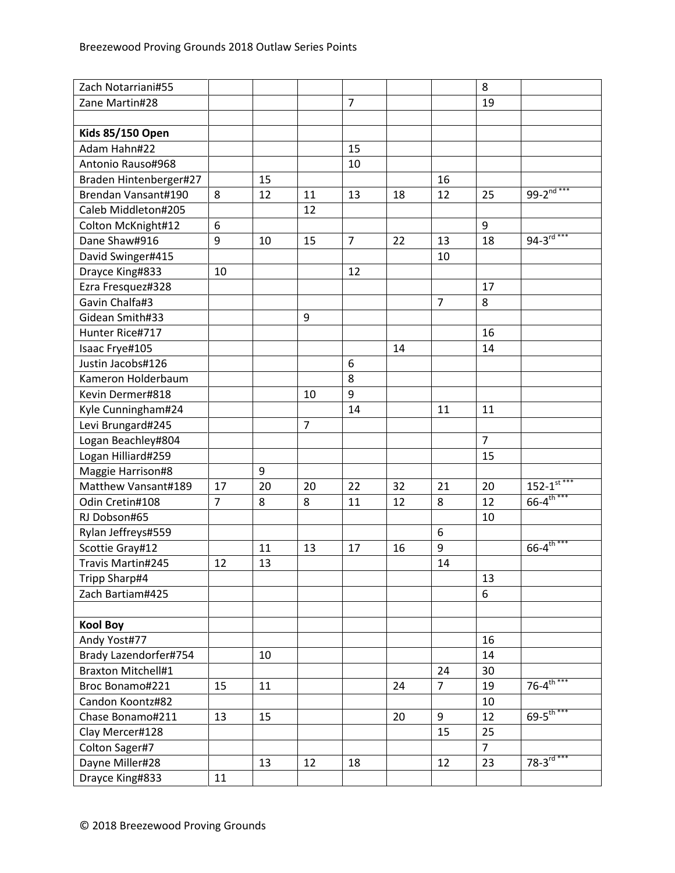| Zach Notarriani#55        |                |    |                |                |    |                | 8              |                                        |
|---------------------------|----------------|----|----------------|----------------|----|----------------|----------------|----------------------------------------|
| Zane Martin#28            |                |    |                | $\overline{7}$ |    |                | 19             |                                        |
|                           |                |    |                |                |    |                |                |                                        |
| <b>Kids 85/150 Open</b>   |                |    |                |                |    |                |                |                                        |
| Adam Hahn#22              |                |    |                | 15             |    |                |                |                                        |
| Antonio Rauso#968         |                |    |                | 10             |    |                |                |                                        |
| Braden Hintenberger#27    |                | 15 |                |                |    | 16             |                |                                        |
| Brendan Vansant#190       | 8              | 12 | 11             | 13             | 18 | 12             | 25             | 99-2 $\overline{nd***}$                |
| Caleb Middleton#205       |                |    | 12             |                |    |                |                |                                        |
| Colton McKnight#12        | 6              |    |                |                |    |                | 9              |                                        |
| Dane Shaw#916             | 9              | 10 | 15             | $\overline{7}$ | 22 | 13             | 18             | $94 - 3^{rd***}$                       |
| David Swinger#415         |                |    |                |                |    | 10             |                |                                        |
| Drayce King#833           | 10             |    |                | 12             |    |                |                |                                        |
| Ezra Fresquez#328         |                |    |                |                |    |                | 17             |                                        |
| Gavin Chalfa#3            |                |    |                |                |    | $\overline{7}$ | 8              |                                        |
| Gidean Smith#33           |                |    | 9              |                |    |                |                |                                        |
| Hunter Rice#717           |                |    |                |                |    |                | 16             |                                        |
| Isaac Frye#105            |                |    |                |                | 14 |                | 14             |                                        |
| Justin Jacobs#126         |                |    |                | 6              |    |                |                |                                        |
| Kameron Holderbaum        |                |    |                | 8              |    |                |                |                                        |
| Kevin Dermer#818          |                |    | 10             | 9              |    |                |                |                                        |
| Kyle Cunningham#24        |                |    |                | 14             |    | 11             | 11             |                                        |
| Levi Brungard#245         |                |    | $\overline{7}$ |                |    |                |                |                                        |
| Logan Beachley#804        |                |    |                |                |    |                | $\overline{7}$ |                                        |
| Logan Hilliard#259        |                |    |                |                |    |                | 15             |                                        |
| Maggie Harrison#8         |                | 9  |                |                |    |                |                |                                        |
| Matthew Vansant#189       | 17             | 20 | 20             | 22             | 32 | 21             | 20             | $152 - 1$ <sup>st ***</sup>            |
| Odin Cretin#108           | $\overline{7}$ | 8  | 8              | 11             | 12 | 8              | 12             | $66 - 4^{\text{th***}}$                |
| RJ Dobson#65              |                |    |                |                |    |                | 10             |                                        |
| Rylan Jeffreys#559        |                |    |                |                |    | 6              |                |                                        |
| Scottie Gray#12           |                | 11 | 13             | 17             | 16 | 9              |                | $66 - 4^{\frac{1}{10} + \frac{1}{10}}$ |
| Travis Martin#245         | 12             | 13 |                |                |    | 14             |                |                                        |
| Tripp Sharp#4             |                |    |                |                |    |                | 13             |                                        |
| Zach Bartiam#425          |                |    |                |                |    |                | 6              |                                        |
|                           |                |    |                |                |    |                |                |                                        |
| <b>Kool Boy</b>           |                |    |                |                |    |                |                |                                        |
| Andy Yost#77              |                |    |                |                |    |                | 16             |                                        |
| Brady Lazendorfer#754     |                | 10 |                |                |    |                | 14             |                                        |
| <b>Braxton Mitchell#1</b> |                |    |                |                |    | 24             | 30             |                                        |
| Broc Bonamo#221           | 15             | 11 |                |                | 24 | $\overline{7}$ | 19             | $76 - 4^{\text{th}***}$                |
| Candon Koontz#82          |                |    |                |                |    |                | 10             |                                        |
| Chase Bonamo#211          | 13             | 15 |                |                | 20 | 9              | 12             | $69 - 5$ <sup>th ***</sup>             |
| Clay Mercer#128           |                |    |                |                |    | 15             | 25             |                                        |
| Colton Sager#7            |                |    |                |                |    |                | $\overline{7}$ |                                        |
| Dayne Miller#28           |                | 13 | 12             | 18             |    | 12             | 23             | $78 - 3^{\frac{1}{10}***}$             |
| Drayce King#833           | 11             |    |                |                |    |                |                |                                        |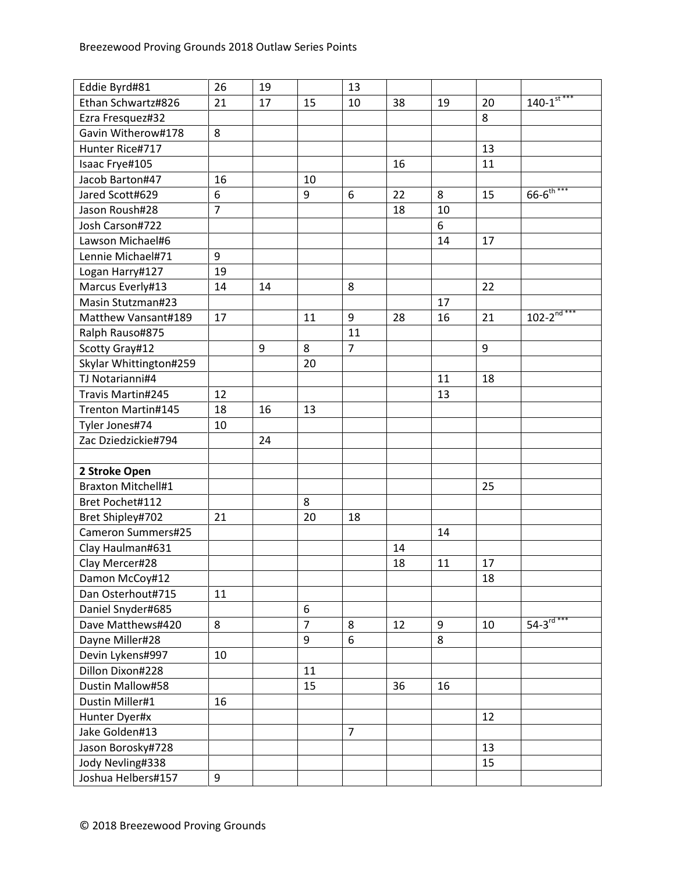| Eddie Byrd#81             | 26             | 19 |                  | 13             |    |    |    |                             |
|---------------------------|----------------|----|------------------|----------------|----|----|----|-----------------------------|
| Ethan Schwartz#826        | 21             | 17 | 15               | 10             | 38 | 19 | 20 | $140 - 1$ <sup>st ***</sup> |
| Ezra Fresquez#32          |                |    |                  |                |    |    | 8  |                             |
| Gavin Witherow#178        | 8              |    |                  |                |    |    |    |                             |
| Hunter Rice#717           |                |    |                  |                |    |    | 13 |                             |
| Isaac Frye#105            |                |    |                  |                | 16 |    | 11 |                             |
| Jacob Barton#47           | 16             |    | 10               |                |    |    |    |                             |
| Jared Scott#629           | 6              |    | 9                | 6              | 22 | 8  | 15 | $66 - 6^{\frac{1}{th***}}$  |
| Jason Roush#28            | $\overline{7}$ |    |                  |                | 18 | 10 |    |                             |
| Josh Carson#722           |                |    |                  |                |    | 6  |    |                             |
| Lawson Michael#6          |                |    |                  |                |    | 14 | 17 |                             |
| Lennie Michael#71         | 9              |    |                  |                |    |    |    |                             |
| Logan Harry#127           | 19             |    |                  |                |    |    |    |                             |
| Marcus Everly#13          | 14             | 14 |                  | 8              |    |    | 22 |                             |
| Masin Stutzman#23         |                |    |                  |                |    | 17 |    |                             |
| Matthew Vansant#189       | 17             |    | 11               | 9              | 28 | 16 | 21 | $102 - 2^{nd***}$           |
| Ralph Rauso#875           |                |    |                  | 11             |    |    |    |                             |
| Scotty Gray#12            |                | 9  | 8                | $\overline{7}$ |    |    | 9  |                             |
| Skylar Whittington#259    |                |    | 20               |                |    |    |    |                             |
| TJ Notarianni#4           |                |    |                  |                |    | 11 | 18 |                             |
| Travis Martin#245         | 12             |    |                  |                |    | 13 |    |                             |
| Trenton Martin#145        | 18             | 16 | 13               |                |    |    |    |                             |
| Tyler Jones#74            | 10             |    |                  |                |    |    |    |                             |
| Zac Dziedzickie#794       |                | 24 |                  |                |    |    |    |                             |
|                           |                |    |                  |                |    |    |    |                             |
| 2 Stroke Open             |                |    |                  |                |    |    |    |                             |
| <b>Braxton Mitchell#1</b> |                |    |                  |                |    |    | 25 |                             |
| Bret Pochet#112           |                |    | 8                |                |    |    |    |                             |
| Bret Shipley#702          | 21             |    | 20               | 18             |    |    |    |                             |
| Cameron Summers#25        |                |    |                  |                |    | 14 |    |                             |
| Clay Haulman#631          |                |    |                  |                | 14 |    |    |                             |
| Clay Mercer#28            |                |    |                  |                | 18 | 11 | 17 |                             |
| Damon McCoy#12            |                |    |                  |                |    |    | 18 |                             |
| Dan Osterhout#715         | 11             |    |                  |                |    |    |    |                             |
| Daniel Snyder#685         |                |    | $\boldsymbol{6}$ |                |    |    |    |                             |
| Dave Matthews#420         | 8              |    | $\overline{7}$   | 8              | 12 | 9  | 10 | $54 - 3^{rd***}$            |
| Dayne Miller#28           |                |    | 9                | 6              |    | 8  |    |                             |
| Devin Lykens#997          | 10             |    |                  |                |    |    |    |                             |
| Dillon Dixon#228          |                |    | 11               |                |    |    |    |                             |
| Dustin Mallow#58          |                |    | 15               |                | 36 | 16 |    |                             |
| Dustin Miller#1           | 16             |    |                  |                |    |    |    |                             |
| Hunter Dyer#x             |                |    |                  |                |    |    | 12 |                             |
| Jake Golden#13            |                |    |                  | $\overline{7}$ |    |    |    |                             |
| Jason Borosky#728         |                |    |                  |                |    |    | 13 |                             |
| Jody Nevling#338          |                |    |                  |                |    |    | 15 |                             |
| Joshua Helbers#157        | 9              |    |                  |                |    |    |    |                             |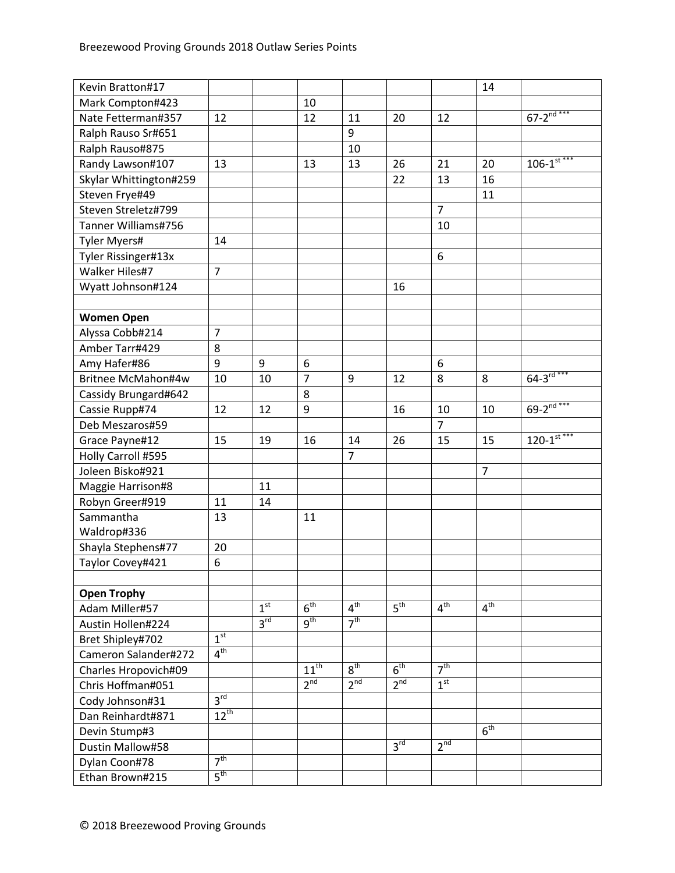| Kevin Bratton#17       |                  |                 |                      |                 |                 |                  | 14              |                             |
|------------------------|------------------|-----------------|----------------------|-----------------|-----------------|------------------|-----------------|-----------------------------|
| Mark Compton#423       |                  |                 | 10                   |                 |                 |                  |                 |                             |
| Nate Fetterman#357     | 12               |                 | 12                   | 11              | 20              | 12               |                 | $67 - 2^{nd***}$            |
| Ralph Rauso Sr#651     |                  |                 |                      | 9               |                 |                  |                 |                             |
| Ralph Rauso#875        |                  |                 |                      | 10              |                 |                  |                 |                             |
| Randy Lawson#107       | 13               |                 | 13                   | 13              | 26              | 21               | 20              | $106 - 1$ <sup>st ***</sup> |
| Skylar Whittington#259 |                  |                 |                      |                 | 22              | 13               | 16              |                             |
| Steven Frye#49         |                  |                 |                      |                 |                 |                  | 11              |                             |
| Steven Streletz#799    |                  |                 |                      |                 |                 | $\overline{7}$   |                 |                             |
| Tanner Williams#756    |                  |                 |                      |                 |                 | 10               |                 |                             |
| Tyler Myers#           | 14               |                 |                      |                 |                 |                  |                 |                             |
| Tyler Rissinger#13x    |                  |                 |                      |                 |                 | 6                |                 |                             |
| Walker Hiles#7         | $\overline{7}$   |                 |                      |                 |                 |                  |                 |                             |
| Wyatt Johnson#124      |                  |                 |                      |                 | 16              |                  |                 |                             |
|                        |                  |                 |                      |                 |                 |                  |                 |                             |
| <b>Women Open</b>      |                  |                 |                      |                 |                 |                  |                 |                             |
| Alyssa Cobb#214        | $\overline{7}$   |                 |                      |                 |                 |                  |                 |                             |
| Amber Tarr#429         | 8                |                 |                      |                 |                 |                  |                 |                             |
| Amy Hafer#86           | 9                | 9               | 6                    |                 |                 | $\boldsymbol{6}$ |                 |                             |
| Britnee McMahon#4w     | 10               | 10              | $\overline{7}$       | 9               | 12              | 8                | 8               | $64 - 3^{rd***}$            |
| Cassidy Brungard#642   |                  |                 | 8                    |                 |                 |                  |                 |                             |
| Cassie Rupp#74         | 12               | 12              | 9                    |                 | 16              | 10               | 10              | $69 - 2^{nd***}$            |
| Deb Meszaros#59        |                  |                 |                      |                 |                 | $\overline{7}$   |                 |                             |
| Grace Payne#12         | 15               | 19              | 16                   | 14              | 26              | 15               | 15              | $120 - 1$ <sup>st ***</sup> |
| Holly Carroll #595     |                  |                 |                      | $\overline{7}$  |                 |                  |                 |                             |
| Joleen Bisko#921       |                  |                 |                      |                 |                 |                  | $\overline{7}$  |                             |
| Maggie Harrison#8      |                  | 11              |                      |                 |                 |                  |                 |                             |
| Robyn Greer#919        | 11               | 14              |                      |                 |                 |                  |                 |                             |
| Sammantha              | 13               |                 | 11                   |                 |                 |                  |                 |                             |
| Waldrop#336            |                  |                 |                      |                 |                 |                  |                 |                             |
| Shayla Stephens#77     | 20               |                 |                      |                 |                 |                  |                 |                             |
| Taylor Covey#421       | $\boldsymbol{6}$ |                 |                      |                 |                 |                  |                 |                             |
|                        |                  |                 |                      |                 |                 |                  |                 |                             |
| <b>Open Trophy</b>     |                  |                 |                      |                 |                 |                  |                 |                             |
| Adam Miller#57         |                  | 1 <sup>st</sup> | 6 <sup>th</sup>      | 4 <sup>th</sup> | 5 <sup>th</sup> | 4 <sup>th</sup>  | 4 <sup>th</sup> |                             |
| Austin Hollen#224      |                  | 3 <sup>rd</sup> | 9 <sup>th</sup>      | 7 <sup>th</sup> |                 |                  |                 |                             |
| Bret Shipley#702       | 1 <sup>st</sup>  |                 |                      |                 |                 |                  |                 |                             |
| Cameron Salander#272   | 4 <sup>th</sup>  |                 |                      |                 |                 |                  |                 |                             |
| Charles Hropovich#09   |                  |                 | $11^{\overline{th}}$ | 8 <sup>th</sup> | 6 <sup>th</sup> | 7 <sup>th</sup>  |                 |                             |
| Chris Hoffman#051      |                  |                 | 2 <sup>nd</sup>      | 2 <sup>nd</sup> | 2 <sup>nd</sup> | 1 <sup>st</sup>  |                 |                             |
| Cody Johnson#31        | 3 <sup>rd</sup>  |                 |                      |                 |                 |                  |                 |                             |
| Dan Reinhardt#871      | $12^{th}$        |                 |                      |                 |                 |                  |                 |                             |
| Devin Stump#3          |                  |                 |                      |                 |                 |                  | 6 <sup>th</sup> |                             |
| Dustin Mallow#58       |                  |                 |                      |                 | 3 <sup>rd</sup> | 2 <sup>nd</sup>  |                 |                             |
| Dylan Coon#78          | 7 <sup>th</sup>  |                 |                      |                 |                 |                  |                 |                             |
| Ethan Brown#215        | $5^{\text{th}}$  |                 |                      |                 |                 |                  |                 |                             |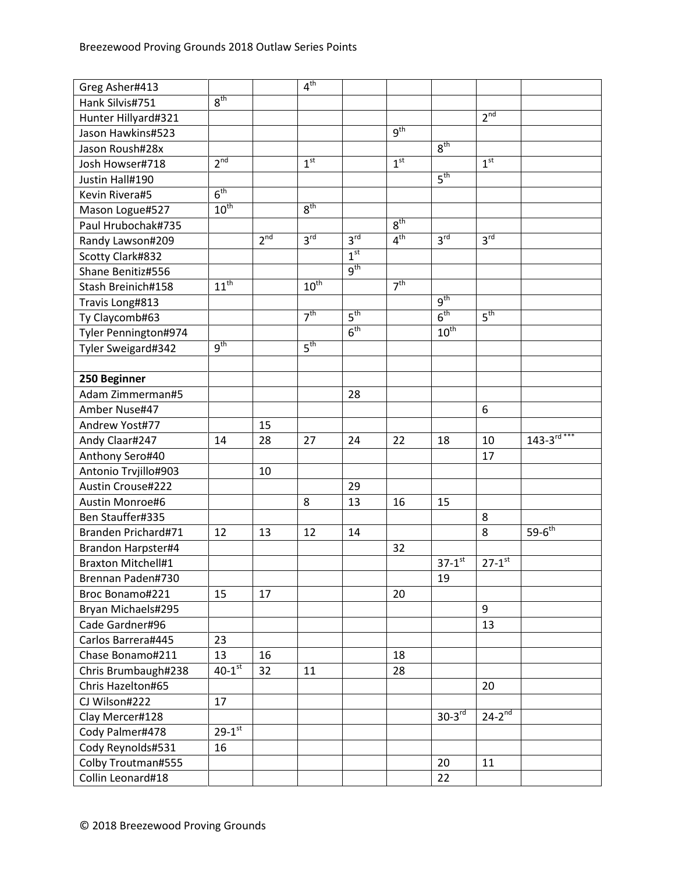| Greg Asher#413            |                      |                 | 4 <sup>th</sup>  |                 |                 |                        |                        |                   |
|---------------------------|----------------------|-----------------|------------------|-----------------|-----------------|------------------------|------------------------|-------------------|
| Hank Silvis#751           | 8 <sup>th</sup>      |                 |                  |                 |                 |                        |                        |                   |
| Hunter Hillyard#321       |                      |                 |                  |                 |                 |                        | 2 <sup>nd</sup>        |                   |
| Jason Hawkins#523         |                      |                 |                  |                 | 9 <sup>th</sup> |                        |                        |                   |
| Jason Roush#28x           |                      |                 |                  |                 |                 | 8 <sup>th</sup>        |                        |                   |
| Josh Howser#718           | 2 <sup>nd</sup>      |                 | 1 <sup>st</sup>  |                 | 1 <sup>st</sup> |                        | 1 <sup>st</sup>        |                   |
| Justin Hall#190           |                      |                 |                  |                 |                 | $5^{\text{th}}$        |                        |                   |
| Kevin Rivera#5            | 6 <sup>th</sup>      |                 |                  |                 |                 |                        |                        |                   |
| Mason Logue#527           | 10 <sup>th</sup>     |                 | 8 <sup>th</sup>  |                 |                 |                        |                        |                   |
| Paul Hrubochak#735        |                      |                 |                  |                 | 8 <sup>th</sup> |                        |                        |                   |
| Randy Lawson#209          |                      | 2 <sup>nd</sup> | 3 <sup>rd</sup>  | 3 <sup>rd</sup> | 4 <sup>th</sup> | 3 <sup>rd</sup>        | $3^{\text{rd}}$        |                   |
| Scotty Clark#832          |                      |                 |                  | 1 <sup>st</sup> |                 |                        |                        |                   |
| Shane Benitiz#556         |                      |                 |                  | 9 <sup>th</sup> |                 |                        |                        |                   |
| Stash Breinich#158        | $11^{th}$            |                 | $10^{\text{th}}$ |                 | 7 <sup>th</sup> |                        |                        |                   |
| Travis Long#813           |                      |                 |                  |                 |                 | $q^{th}$               |                        |                   |
| Ty Claycomb#63            |                      |                 | 7 <sup>th</sup>  | $5^{\text{th}}$ |                 | 6 <sup>th</sup>        | 5 <sup>th</sup>        |                   |
| Tyler Pennington#974      |                      |                 |                  | 6 <sup>th</sup> |                 | $10^{\text{th}}$       |                        |                   |
| Tyler Sweigard#342        | 9 <sup>th</sup>      |                 | 5 <sup>th</sup>  |                 |                 |                        |                        |                   |
|                           |                      |                 |                  |                 |                 |                        |                        |                   |
| 250 Beginner              |                      |                 |                  |                 |                 |                        |                        |                   |
| Adam Zimmerman#5          |                      |                 |                  | 28              |                 |                        |                        |                   |
| Amber Nuse#47             |                      |                 |                  |                 |                 |                        | 6                      |                   |
| Andrew Yost#77            |                      | 15              |                  |                 |                 |                        |                        |                   |
| Andy Claar#247            | 14                   | 28              | 27               | 24              | 22              | 18                     | 10                     | $143 - 3^{rd***}$ |
| Anthony Sero#40           |                      |                 |                  |                 |                 |                        | 17                     |                   |
| Antonio Trvjillo#903      |                      | 10              |                  |                 |                 |                        |                        |                   |
| Austin Crouse#222         |                      |                 |                  | 29              |                 |                        |                        |                   |
| Austin Monroe#6           |                      |                 | 8                | 13              | 16              | 15                     |                        |                   |
| Ben Stauffer#335          |                      |                 |                  |                 |                 |                        | 8                      |                   |
| Branden Prichard#71       | 12                   | 13              | 12               | 14              |                 |                        | 8                      | $59-6^{th}$       |
| Brandon Harpster#4        |                      |                 |                  |                 | 32              |                        |                        |                   |
| <b>Braxton Mitchell#1</b> |                      |                 |                  |                 |                 | $37 - 1$ <sup>st</sup> | $27 - 1$ <sup>st</sup> |                   |
| Brennan Paden#730         |                      |                 |                  |                 |                 | 19                     |                        |                   |
| Broc Bonamo#221           | 15                   | 17              |                  |                 | 20              |                        |                        |                   |
| Bryan Michaels#295        |                      |                 |                  |                 |                 |                        | 9                      |                   |
| Cade Gardner#96           |                      |                 |                  |                 |                 |                        | 13                     |                   |
| Carlos Barrera#445        | 23                   |                 |                  |                 |                 |                        |                        |                   |
| Chase Bonamo#211          | 13                   | 16              |                  |                 | 18              |                        |                        |                   |
| Chris Brumbaugh#238       | $40-1$ <sup>st</sup> | 32              | 11               |                 | 28              |                        |                        |                   |
| Chris Hazelton#65         |                      |                 |                  |                 |                 |                        | 20                     |                   |
| CJ Wilson#222             | 17                   |                 |                  |                 |                 |                        |                        |                   |
| Clay Mercer#128           |                      |                 |                  |                 |                 | $30-3^{rd}$            | $24-2^{nd}$            |                   |
| Cody Palmer#478           | $29 - 1^{st}$        |                 |                  |                 |                 |                        |                        |                   |
| Cody Reynolds#531         | 16                   |                 |                  |                 |                 |                        |                        |                   |
| Colby Troutman#555        |                      |                 |                  |                 |                 | 20                     | 11                     |                   |
| Collin Leonard#18         |                      |                 |                  |                 |                 | 22                     |                        |                   |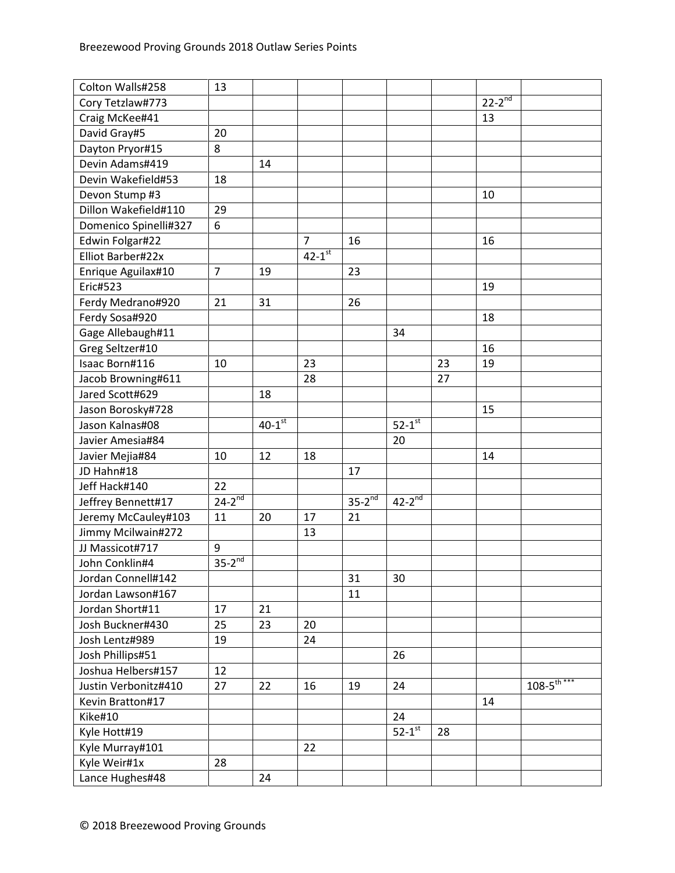| Colton Walls#258      | 13               |                      |                |             |                      |    |               |                            |
|-----------------------|------------------|----------------------|----------------|-------------|----------------------|----|---------------|----------------------------|
| Cory Tetzlaw#773      |                  |                      |                |             |                      |    | $22 - 2^{nd}$ |                            |
| Craig McKee#41        |                  |                      |                |             |                      |    | 13            |                            |
| David Gray#5          | 20               |                      |                |             |                      |    |               |                            |
| Dayton Pryor#15       | 8                |                      |                |             |                      |    |               |                            |
| Devin Adams#419       |                  | 14                   |                |             |                      |    |               |                            |
| Devin Wakefield#53    | 18               |                      |                |             |                      |    |               |                            |
| Devon Stump #3        |                  |                      |                |             |                      |    | 10            |                            |
| Dillon Wakefield#110  | 29               |                      |                |             |                      |    |               |                            |
| Domenico Spinelli#327 | 6                |                      |                |             |                      |    |               |                            |
| Edwin Folgar#22       |                  |                      | $\overline{7}$ | 16          |                      |    | 16            |                            |
| Elliot Barber#22x     |                  |                      | $42 - 1^{st}$  |             |                      |    |               |                            |
| Enrique Aguilax#10    | $\overline{7}$   | 19                   |                | 23          |                      |    |               |                            |
| <b>Eric#523</b>       |                  |                      |                |             |                      |    | 19            |                            |
| Ferdy Medrano#920     | 21               | 31                   |                | 26          |                      |    |               |                            |
| Ferdy Sosa#920        |                  |                      |                |             |                      |    | 18            |                            |
| Gage Allebaugh#11     |                  |                      |                |             | 34                   |    |               |                            |
| Greg Seltzer#10       |                  |                      |                |             |                      |    | 16            |                            |
| Isaac Born#116        | 10               |                      | 23             |             |                      | 23 | 19            |                            |
| Jacob Browning#611    |                  |                      | 28             |             |                      | 27 |               |                            |
| Jared Scott#629       |                  | 18                   |                |             |                      |    |               |                            |
| Jason Borosky#728     |                  |                      |                |             |                      |    | 15            |                            |
| Jason Kalnas#08       |                  | $40-1$ <sup>st</sup> |                |             | $52-1$ <sup>st</sup> |    |               |                            |
| Javier Amesia#84      |                  |                      |                |             | 20                   |    |               |                            |
| Javier Mejia#84       | 10               | 12                   | 18             |             |                      |    | 14            |                            |
| JD Hahn#18            |                  |                      |                | 17          |                      |    |               |                            |
| Jeff Hack#140         | 22               |                      |                |             |                      |    |               |                            |
| Jeffrey Bennett#17    | $24-2^{nd}$      |                      |                | $35-2^{nd}$ | $42-2^{nd}$          |    |               |                            |
| Jeremy McCauley#103   | 11               | 20                   | 17             | 21          |                      |    |               |                            |
| Jimmy Mcilwain#272    |                  |                      | 13             |             |                      |    |               |                            |
| JJ Massicot#717       | $\boldsymbol{9}$ |                      |                |             |                      |    |               |                            |
| John Conklin#4        | $35-2^{nd}$      |                      |                |             |                      |    |               |                            |
| Jordan Connell#142    |                  |                      |                | 31          | 30                   |    |               |                            |
| Jordan Lawson#167     |                  |                      |                | 11          |                      |    |               |                            |
| Jordan Short#11       | 17               | 21                   |                |             |                      |    |               |                            |
| Josh Buckner#430      | 25               | 23                   | 20             |             |                      |    |               |                            |
| Josh Lentz#989        | 19               |                      | 24             |             |                      |    |               |                            |
| Josh Phillips#51      |                  |                      |                |             | 26                   |    |               |                            |
| Joshua Helbers#157    | 12               |                      |                |             |                      |    |               |                            |
| Justin Verbonitz#410  | 27               | 22                   | 16             | 19          | 24                   |    |               | $108 - 5$ <sup>th***</sup> |
| Kevin Bratton#17      |                  |                      |                |             |                      |    | 14            |                            |
| Kike#10               |                  |                      |                |             | 24                   |    |               |                            |
| Kyle Hott#19          |                  |                      |                |             | $52-1$ <sup>st</sup> | 28 |               |                            |
| Kyle Murray#101       |                  |                      | 22             |             |                      |    |               |                            |
| Kyle Weir#1x          | 28               |                      |                |             |                      |    |               |                            |
| Lance Hughes#48       |                  | 24                   |                |             |                      |    |               |                            |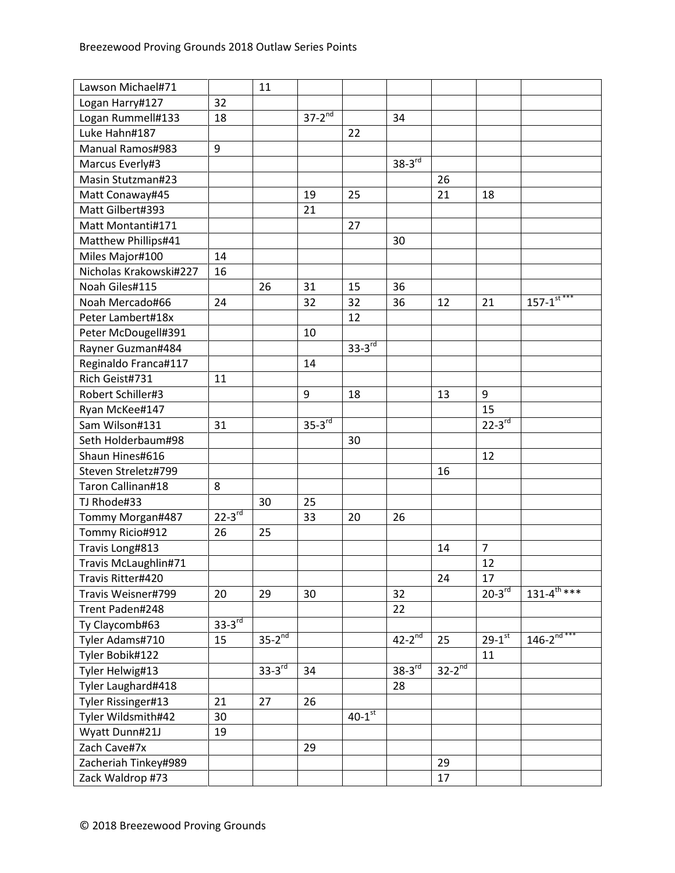| Lawson Michael#71      |               | 11                   |             |                      |                      |             |                        |                             |
|------------------------|---------------|----------------------|-------------|----------------------|----------------------|-------------|------------------------|-----------------------------|
| Logan Harry#127        | 32            |                      |             |                      |                      |             |                        |                             |
| Logan Rummell#133      | 18            |                      | $37-2^{nd}$ |                      | 34                   |             |                        |                             |
| Luke Hahn#187          |               |                      |             | 22                   |                      |             |                        |                             |
| Manual Ramos#983       | 9             |                      |             |                      |                      |             |                        |                             |
| Marcus Everly#3        |               |                      |             |                      | $38-3^{rd}$          |             |                        |                             |
| Masin Stutzman#23      |               |                      |             |                      |                      | 26          |                        |                             |
| Matt Conaway#45        |               |                      | 19          | 25                   |                      | 21          | 18                     |                             |
| Matt Gilbert#393       |               |                      | 21          |                      |                      |             |                        |                             |
| Matt Montanti#171      |               |                      |             | 27                   |                      |             |                        |                             |
| Matthew Phillips#41    |               |                      |             |                      | 30                   |             |                        |                             |
| Miles Major#100        | 14            |                      |             |                      |                      |             |                        |                             |
| Nicholas Krakowski#227 | 16            |                      |             |                      |                      |             |                        |                             |
| Noah Giles#115         |               | 26                   | 31          | 15                   | 36                   |             |                        |                             |
| Noah Mercado#66        | 24            |                      | 32          | 32                   | 36                   | 12          | 21                     | $157 - 1$ <sup>st ***</sup> |
| Peter Lambert#18x      |               |                      |             | 12                   |                      |             |                        |                             |
| Peter McDougell#391    |               |                      | 10          |                      |                      |             |                        |                             |
| Rayner Guzman#484      |               |                      |             | $33 - 3^{rd}$        |                      |             |                        |                             |
| Reginaldo Franca#117   |               |                      | 14          |                      |                      |             |                        |                             |
| Rich Geist#731         | 11            |                      |             |                      |                      |             |                        |                             |
| Robert Schiller#3      |               |                      | 9           | 18                   |                      | 13          | 9                      |                             |
| Ryan McKee#147         |               |                      |             |                      |                      |             | 15                     |                             |
| Sam Wilson#131         | 31            |                      | $35-3^{rd}$ |                      |                      |             | $22 - 3^{rd}$          |                             |
| Seth Holderbaum#98     |               |                      |             | 30                   |                      |             |                        |                             |
| Shaun Hines#616        |               |                      |             |                      |                      |             | 12                     |                             |
| Steven Streletz#799    |               |                      |             |                      |                      | 16          |                        |                             |
| Taron Callinan#18      | 8             |                      |             |                      |                      |             |                        |                             |
| TJ Rhode#33            |               | 30                   | 25          |                      |                      |             |                        |                             |
| Tommy Morgan#487       | $22 - 3^{rd}$ |                      | 33          | 20                   | 26                   |             |                        |                             |
| Tommy Ricio#912        | 26            | 25                   |             |                      |                      |             |                        |                             |
| Travis Long#813        |               |                      |             |                      |                      | 14          | $\overline{7}$         |                             |
| Travis McLaughlin#71   |               |                      |             |                      |                      |             | 12                     |                             |
| Travis Ritter#420      |               |                      |             |                      |                      | 24          | 17                     |                             |
| Travis Weisner#799     | 20            | 29                   | 30          |                      | 32                   |             | $20-3^{rd}$            | $131 - 4^{\text{th}***}$    |
| Trent Paden#248        |               |                      |             |                      | 22                   |             |                        |                             |
| Ty Claycomb#63         | $33 - 3^{rd}$ |                      |             |                      |                      |             |                        |                             |
| Tyler Adams#710        | 15            | $35-2^{nd}$          |             |                      | $42-2^{nd}$          | 25          | $29 - 1$ <sup>st</sup> | $146 - 2^{nd***}$           |
| Tyler Bobik#122        |               |                      |             |                      |                      |             | 11                     |                             |
| Tyler Helwig#13        |               | $33-3$ <sup>rd</sup> | 34          |                      | $38-3$ <sup>rd</sup> | $32-2^{nd}$ |                        |                             |
| Tyler Laughard#418     |               |                      |             |                      | 28                   |             |                        |                             |
| Tyler Rissinger#13     | 21            | 27                   | 26          |                      |                      |             |                        |                             |
| Tyler Wildsmith#42     | 30            |                      |             | $40-1$ <sup>st</sup> |                      |             |                        |                             |
| Wyatt Dunn#21J         | 19            |                      |             |                      |                      |             |                        |                             |
| Zach Cave#7x           |               |                      | 29          |                      |                      |             |                        |                             |
| Zacheriah Tinkey#989   |               |                      |             |                      |                      | 29          |                        |                             |
| Zack Waldrop #73       |               |                      |             |                      |                      | 17          |                        |                             |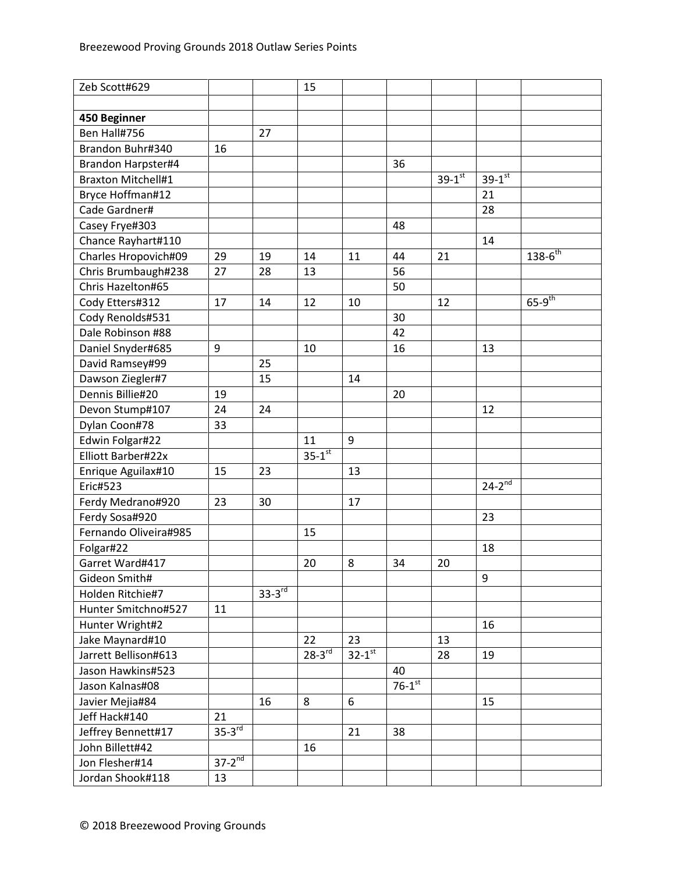| Zeb Scott#629             |                      |             | 15            |                      |                      |                      |                        |                      |
|---------------------------|----------------------|-------------|---------------|----------------------|----------------------|----------------------|------------------------|----------------------|
|                           |                      |             |               |                      |                      |                      |                        |                      |
| 450 Beginner              |                      |             |               |                      |                      |                      |                        |                      |
| Ben Hall#756              |                      | 27          |               |                      |                      |                      |                        |                      |
| Brandon Buhr#340          | 16                   |             |               |                      |                      |                      |                        |                      |
| Brandon Harpster#4        |                      |             |               |                      | 36                   |                      |                        |                      |
| <b>Braxton Mitchell#1</b> |                      |             |               |                      |                      | $39-1$ <sup>st</sup> | $39 - 1$ <sup>st</sup> |                      |
| Bryce Hoffman#12          |                      |             |               |                      |                      |                      | 21                     |                      |
| Cade Gardner#             |                      |             |               |                      |                      |                      | 28                     |                      |
| Casey Frye#303            |                      |             |               |                      | 48                   |                      |                        |                      |
| Chance Rayhart#110        |                      |             |               |                      |                      |                      | 14                     |                      |
| Charles Hropovich#09      | 29                   | 19          | 14            | 11                   | 44                   | 21                   |                        | $138 - 6^{th}$       |
| Chris Brumbaugh#238       | 27                   | 28          | 13            |                      | 56                   |                      |                        |                      |
| Chris Hazelton#65         |                      |             |               |                      | 50                   |                      |                        |                      |
| Cody Etters#312           | 17                   | 14          | 12            | 10                   |                      | 12                   |                        | $65-9$ <sup>th</sup> |
| Cody Renolds#531          |                      |             |               |                      | 30                   |                      |                        |                      |
| Dale Robinson #88         |                      |             |               |                      | 42                   |                      |                        |                      |
| Daniel Snyder#685         | $\boldsymbol{9}$     |             | 10            |                      | 16                   |                      | 13                     |                      |
| David Ramsey#99           |                      | 25          |               |                      |                      |                      |                        |                      |
| Dawson Ziegler#7          |                      | 15          |               | 14                   |                      |                      |                        |                      |
| Dennis Billie#20          | 19                   |             |               |                      | 20                   |                      |                        |                      |
| Devon Stump#107           | 24                   | 24          |               |                      |                      |                      | 12                     |                      |
| Dylan Coon#78             | 33                   |             |               |                      |                      |                      |                        |                      |
| Edwin Folgar#22           |                      |             | 11            | 9                    |                      |                      |                        |                      |
| Elliott Barber#22x        |                      |             | $35 - 1^{st}$ |                      |                      |                      |                        |                      |
| Enrique Aguilax#10        | 15                   | 23          |               | 13                   |                      |                      |                        |                      |
| <b>Eric#523</b>           |                      |             |               |                      |                      |                      | $24 - 2^{nd}$          |                      |
| Ferdy Medrano#920         | 23                   | 30          |               | 17                   |                      |                      |                        |                      |
| Ferdy Sosa#920            |                      |             |               |                      |                      |                      | 23                     |                      |
| Fernando Oliveira#985     |                      |             | 15            |                      |                      |                      |                        |                      |
| Folgar#22                 |                      |             |               |                      |                      |                      | 18                     |                      |
| Garret Ward#417           |                      |             | 20            | 8                    | 34                   | 20                   |                        |                      |
| Gideon Smith#             |                      |             |               |                      |                      |                      | 9                      |                      |
| Holden Ritchie#7          |                      | $33-3^{rd}$ |               |                      |                      |                      |                        |                      |
| Hunter Smitchno#527       | 11                   |             |               |                      |                      |                      |                        |                      |
| Hunter Wright#2           |                      |             |               |                      |                      |                      | 16                     |                      |
| Jake Maynard#10           |                      |             | 22            | 23                   |                      | 13                   |                        |                      |
| Jarrett Bellison#613      |                      |             | $28-3^{rd}$   | $32-1$ <sup>st</sup> |                      | 28                   | 19                     |                      |
| Jason Hawkins#523         |                      |             |               |                      | 40                   |                      |                        |                      |
| Jason Kalnas#08           |                      |             |               |                      | $76-1$ <sup>st</sup> |                      |                        |                      |
| Javier Mejia#84           |                      | 16          | 8             | 6                    |                      |                      | 15                     |                      |
| Jeff Hack#140             | 21                   |             |               |                      |                      |                      |                        |                      |
| Jeffrey Bennett#17        | $35-3$ <sup>rd</sup> |             |               | 21                   | 38                   |                      |                        |                      |
| John Billett#42           |                      |             | 16            |                      |                      |                      |                        |                      |
| Jon Flesher#14            | $37-2^{nd}$          |             |               |                      |                      |                      |                        |                      |
| Jordan Shook#118          | 13                   |             |               |                      |                      |                      |                        |                      |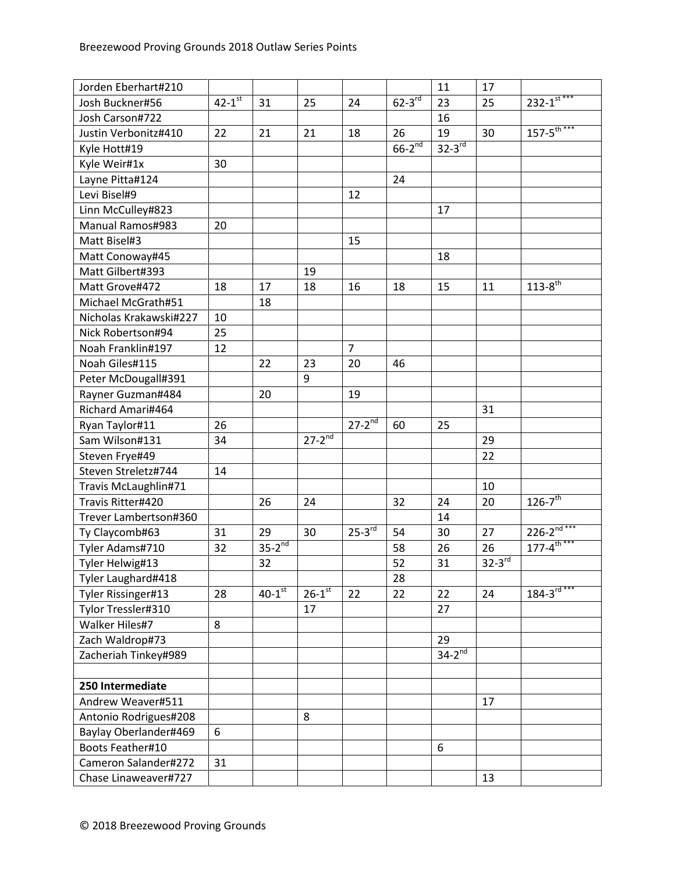| Jorden Eberhart#210    |                        |                        |                          |                      |             | 11                   | 17            |                             |
|------------------------|------------------------|------------------------|--------------------------|----------------------|-------------|----------------------|---------------|-----------------------------|
| Josh Buckner#56        | $42 - 1$ <sup>st</sup> | 31                     | 25                       | 24                   | $62-3^{rd}$ | 23                   | 25            | $232 - 1$ <sup>st ***</sup> |
| Josh Carson#722        |                        |                        |                          |                      |             | 16                   |               |                             |
| Justin Verbonitz#410   | 22                     | 21                     | 21                       | 18                   | 26          | 19                   | 30            | $157 - 5^{th***}$           |
| Kyle Hott#19           |                        |                        |                          |                      | $66-2^{nd}$ | $32-3$ <sup>rd</sup> |               |                             |
| Kyle Weir#1x           | 30                     |                        |                          |                      |             |                      |               |                             |
| Layne Pitta#124        |                        |                        |                          |                      | 24          |                      |               |                             |
| Levi Bisel#9           |                        |                        |                          | 12                   |             |                      |               |                             |
| Linn McCulley#823      |                        |                        |                          |                      |             | 17                   |               |                             |
| Manual Ramos#983       | 20                     |                        |                          |                      |             |                      |               |                             |
| Matt Bisel#3           |                        |                        |                          | 15                   |             |                      |               |                             |
| Matt Conoway#45        |                        |                        |                          |                      |             | 18                   |               |                             |
| Matt Gilbert#393       |                        |                        | 19                       |                      |             |                      |               |                             |
| Matt Grove#472         | 18                     | 17                     | 18                       | 16                   | 18          | 15                   | 11            | $113 - 8^{th}$              |
| Michael McGrath#51     |                        | 18                     |                          |                      |             |                      |               |                             |
| Nicholas Krakawski#227 | 10                     |                        |                          |                      |             |                      |               |                             |
| Nick Robertson#94      | 25                     |                        |                          |                      |             |                      |               |                             |
| Noah Franklin#197      | 12                     |                        |                          | $\overline{7}$       |             |                      |               |                             |
| Noah Giles#115         |                        | 22                     | 23                       | 20                   | 46          |                      |               |                             |
| Peter McDougall#391    |                        |                        | 9                        |                      |             |                      |               |                             |
| Rayner Guzman#484      |                        | 20                     |                          | 19                   |             |                      |               |                             |
| Richard Amari#464      |                        |                        |                          |                      |             |                      | 31            |                             |
| Ryan Taylor#11         | 26                     |                        |                          | $27-2$ <sup>nd</sup> | 60          | 25                   |               |                             |
| Sam Wilson#131         | 34                     |                        | $27 - 2^{\overline{nd}}$ |                      |             |                      | 29            |                             |
| Steven Frye#49         |                        |                        |                          |                      |             |                      | 22            |                             |
| Steven Streletz#744    | 14                     |                        |                          |                      |             |                      |               |                             |
| Travis McLaughlin#71   |                        |                        |                          |                      |             |                      | 10            |                             |
| Travis Ritter#420      |                        | 26                     | 24                       |                      | 32          | 24                   | 20            | $126 - 7$ <sup>th</sup>     |
| Trever Lambertson#360  |                        |                        |                          |                      |             | 14                   |               |                             |
| Ty Claycomb#63         | 31                     | 29                     | 30                       | $25-3^{rd}$          | 54          | 30                   | 27            | $226 - 2^{nd***}$           |
| Tyler Adams#710        | 32                     | $35-2^{nd}$            |                          |                      | 58          | 26                   | 26            | $177 - 4^{\text{th}***}$    |
| Tyler Helwig#13        |                        | 32                     |                          |                      | 52          | 31                   | $32 - 3^{rd}$ |                             |
| Tyler Laughard#418     |                        |                        |                          |                      | 28          |                      |               |                             |
| Tyler Rissinger#13     | 28                     | $40 - 1$ <sup>st</sup> | $26 - 1$ <sup>st</sup>   | 22                   | 22          | 22                   | 24            | $184 - 3^{rd***}$           |
| Tylor Tressler#310     |                        |                        | 17                       |                      |             | 27                   |               |                             |
| Walker Hiles#7         | 8                      |                        |                          |                      |             |                      |               |                             |
| Zach Waldrop#73        |                        |                        |                          |                      |             | 29                   |               |                             |
| Zacheriah Tinkey#989   |                        |                        |                          |                      |             | $34-2^{nd}$          |               |                             |
|                        |                        |                        |                          |                      |             |                      |               |                             |
| 250 Intermediate       |                        |                        |                          |                      |             |                      |               |                             |
| Andrew Weaver#511      |                        |                        |                          |                      |             |                      | 17            |                             |
| Antonio Rodrigues#208  |                        |                        | 8                        |                      |             |                      |               |                             |
| Baylay Oberlander#469  | 6                      |                        |                          |                      |             |                      |               |                             |
| Boots Feather#10       |                        |                        |                          |                      |             | 6                    |               |                             |
| Cameron Salander#272   | 31                     |                        |                          |                      |             |                      |               |                             |
| Chase Linaweaver#727   |                        |                        |                          |                      |             |                      | 13            |                             |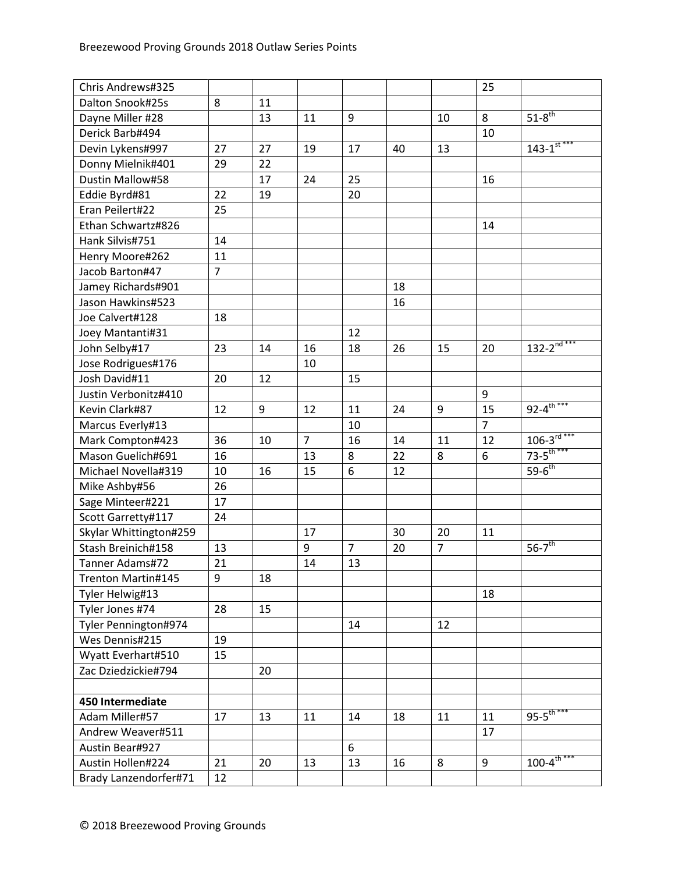| Chris Andrews#325      |                |    |                |                |    |                | 25             |                                  |
|------------------------|----------------|----|----------------|----------------|----|----------------|----------------|----------------------------------|
| Dalton Snook#25s       | 8              | 11 |                |                |    |                |                |                                  |
| Dayne Miller #28       |                | 13 | 11             | 9              |    | 10             | 8              | $51-8$ <sup>th</sup>             |
| Derick Barb#494        |                |    |                |                |    |                | 10             |                                  |
| Devin Lykens#997       | 27             | 27 | 19             | 17             | 40 | 13             |                | $143 - 1$ <sup>st ***</sup>      |
| Donny Mielnik#401      | 29             | 22 |                |                |    |                |                |                                  |
| Dustin Mallow#58       |                | 17 | 24             | 25             |    |                | 16             |                                  |
| Eddie Byrd#81          | 22             | 19 |                | 20             |    |                |                |                                  |
| Eran Peilert#22        | 25             |    |                |                |    |                |                |                                  |
| Ethan Schwartz#826     |                |    |                |                |    |                | 14             |                                  |
| Hank Silvis#751        | 14             |    |                |                |    |                |                |                                  |
| Henry Moore#262        | 11             |    |                |                |    |                |                |                                  |
| Jacob Barton#47        | $\overline{7}$ |    |                |                |    |                |                |                                  |
| Jamey Richards#901     |                |    |                |                | 18 |                |                |                                  |
| Jason Hawkins#523      |                |    |                |                | 16 |                |                |                                  |
| Joe Calvert#128        | 18             |    |                |                |    |                |                |                                  |
| Joey Mantanti#31       |                |    |                | 12             |    |                |                |                                  |
| John Selby#17          | 23             | 14 | 16             | 18             | 26 | 15             | 20             | $132 - 2^{\overline{n d^{***}}}$ |
| Jose Rodrigues#176     |                |    | 10             |                |    |                |                |                                  |
| Josh David#11          | 20             | 12 |                | 15             |    |                |                |                                  |
| Justin Verbonitz#410   |                |    |                |                |    |                | 9              |                                  |
| Kevin Clark#87         | 12             | 9  | 12             | 11             | 24 | 9              | 15             | $92 - 4^{\text{th}***}$          |
| Marcus Everly#13       |                |    |                | 10             |    |                | $\overline{7}$ |                                  |
| Mark Compton#423       | 36             | 10 | $\overline{7}$ | 16             | 14 | 11             | 12             | $106 - 3^{rd***}$                |
| Mason Guelich#691      | 16             |    | 13             | 8              | 22 | 8              | 6              | $73 - 5$ <sup>th ***</sup>       |
| Michael Novella#319    | 10             | 16 | 15             | 6              | 12 |                |                | $59-6$ <sup>th</sup>             |
| Mike Ashby#56          | 26             |    |                |                |    |                |                |                                  |
| Sage Minteer#221       | 17             |    |                |                |    |                |                |                                  |
| Scott Garretty#117     | 24             |    |                |                |    |                |                |                                  |
| Skylar Whittington#259 |                |    | 17             |                | 30 | 20             | 11             |                                  |
| Stash Breinich#158     | 13             |    | 9              | $\overline{7}$ | 20 | $\overline{7}$ |                | $56 - 7$ <sup>th</sup>           |
| Tanner Adams#72        | 21             |    | 14             | 13             |    |                |                |                                  |
| Trenton Martin#145     | $9\,$          | 18 |                |                |    |                |                |                                  |
| Tyler Helwig#13        |                |    |                |                |    |                | 18             |                                  |
| Tyler Jones #74        | 28             | 15 |                |                |    |                |                |                                  |
| Tyler Pennington#974   |                |    |                | 14             |    | 12             |                |                                  |
| Wes Dennis#215         | 19             |    |                |                |    |                |                |                                  |
| Wyatt Everhart#510     | 15             |    |                |                |    |                |                |                                  |
| Zac Dziedzickie#794    |                | 20 |                |                |    |                |                |                                  |
|                        |                |    |                |                |    |                |                |                                  |
| 450 Intermediate       |                |    |                |                |    |                |                |                                  |
| Adam Miller#57         | 17             | 13 | 11             | 14             | 18 | 11             | 11             | $95 - 5$ <sup>th***</sup>        |
| Andrew Weaver#511      |                |    |                |                |    |                | 17             |                                  |
| Austin Bear#927        |                |    |                | 6              |    |                |                |                                  |
| Austin Hollen#224      | 21             | 20 | 13             | 13             | 16 | 8              | 9              | $100 - 4^{\frac{1}{th}***}$      |
| Brady Lanzendorfer#71  | 12             |    |                |                |    |                |                |                                  |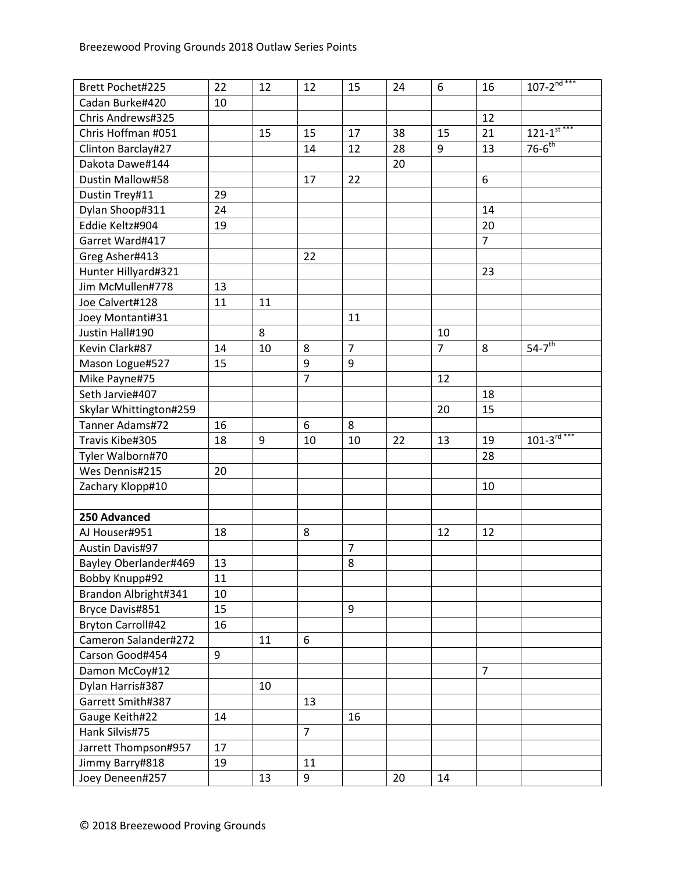| Brett Pochet#225         | 22 | 12 | 12             | 15             | 24 | 6              | 16             | $107 - 2^{nd***}$                    |
|--------------------------|----|----|----------------|----------------|----|----------------|----------------|--------------------------------------|
| Cadan Burke#420          | 10 |    |                |                |    |                |                |                                      |
| Chris Andrews#325        |    |    |                |                |    |                | 12             |                                      |
| Chris Hoffman #051       |    | 15 | 15             | 17             | 38 | 15             | 21             | $12\overline{1-1}$ <sup>st ***</sup> |
| Clinton Barclay#27       |    |    | 14             | 12             | 28 | 9              | 13             | $76 - 6$ <sup>th</sup>               |
| Dakota Dawe#144          |    |    |                |                | 20 |                |                |                                      |
| Dustin Mallow#58         |    |    | 17             | 22             |    |                | 6              |                                      |
| Dustin Trey#11           | 29 |    |                |                |    |                |                |                                      |
| Dylan Shoop#311          | 24 |    |                |                |    |                | 14             |                                      |
| Eddie Keltz#904          | 19 |    |                |                |    |                | 20             |                                      |
| Garret Ward#417          |    |    |                |                |    |                | $\overline{7}$ |                                      |
| Greg Asher#413           |    |    | 22             |                |    |                |                |                                      |
| Hunter Hillyard#321      |    |    |                |                |    |                | 23             |                                      |
| Jim McMullen#778         | 13 |    |                |                |    |                |                |                                      |
| Joe Calvert#128          | 11 | 11 |                |                |    |                |                |                                      |
| Joey Montanti#31         |    |    |                | 11             |    |                |                |                                      |
| Justin Hall#190          |    | 8  |                |                |    | 10             |                |                                      |
| Kevin Clark#87           | 14 | 10 | 8              | $\overline{7}$ |    | $\overline{7}$ | 8              | $54-7$ <sup>th</sup>                 |
| Mason Logue#527          | 15 |    | 9              | 9              |    |                |                |                                      |
| Mike Payne#75            |    |    | $\overline{7}$ |                |    | 12             |                |                                      |
| Seth Jarvie#407          |    |    |                |                |    |                | 18             |                                      |
| Skylar Whittington#259   |    |    |                |                |    | 20             | 15             |                                      |
| Tanner Adams#72          | 16 |    | 6              | 8              |    |                |                |                                      |
| Travis Kibe#305          | 18 | 9  | 10             | 10             | 22 | 13             | 19             | $101 - 3^{rd***}$                    |
| Tyler Walborn#70         |    |    |                |                |    |                | 28             |                                      |
| Wes Dennis#215           | 20 |    |                |                |    |                |                |                                      |
| Zachary Klopp#10         |    |    |                |                |    |                | 10             |                                      |
|                          |    |    |                |                |    |                |                |                                      |
| 250 Advanced             |    |    |                |                |    |                |                |                                      |
| AJ Houser#951            | 18 |    | 8              |                |    | 12             | 12             |                                      |
| <b>Austin Davis#97</b>   |    |    |                | $\overline{7}$ |    |                |                |                                      |
| Bayley Oberlander#469    | 13 |    |                | 8              |    |                |                |                                      |
| Bobby Knupp#92           | 11 |    |                |                |    |                |                |                                      |
| Brandon Albright#341     | 10 |    |                |                |    |                |                |                                      |
| Bryce Davis#851          | 15 |    |                | 9              |    |                |                |                                      |
| <b>Bryton Carroll#42</b> | 16 |    |                |                |    |                |                |                                      |
| Cameron Salander#272     |    | 11 | 6              |                |    |                |                |                                      |
| Carson Good#454          | 9  |    |                |                |    |                |                |                                      |
| Damon McCoy#12           |    |    |                |                |    |                | $\overline{7}$ |                                      |
| Dylan Harris#387         |    | 10 |                |                |    |                |                |                                      |
| Garrett Smith#387        |    |    | 13             |                |    |                |                |                                      |
| Gauge Keith#22           | 14 |    |                | 16             |    |                |                |                                      |
| Hank Silvis#75           |    |    | $\overline{7}$ |                |    |                |                |                                      |
| Jarrett Thompson#957     | 17 |    |                |                |    |                |                |                                      |
| Jimmy Barry#818          | 19 |    | 11             |                |    |                |                |                                      |
| Joey Deneen#257          |    | 13 | 9              |                | 20 | 14             |                |                                      |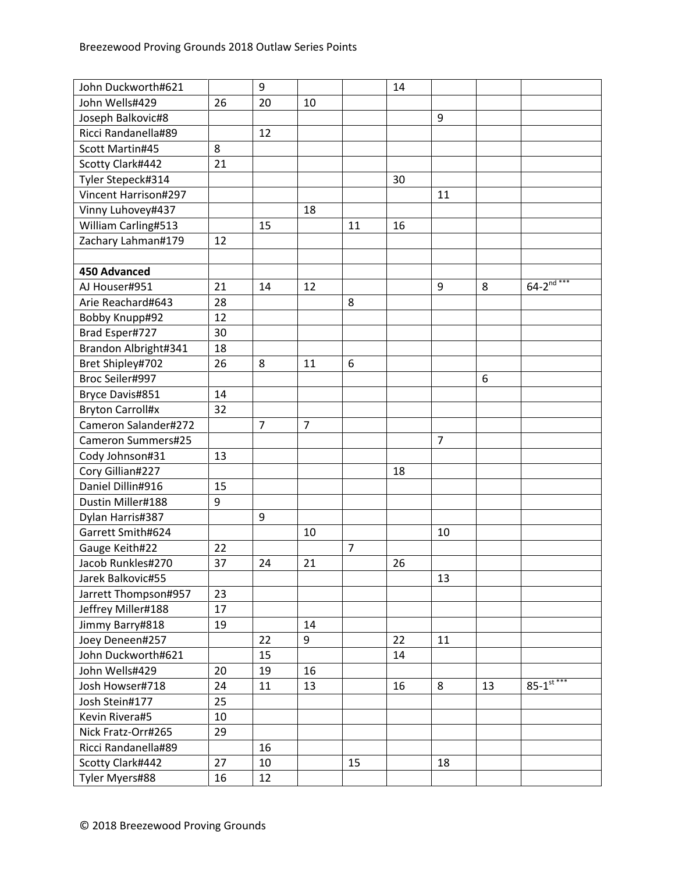| John Duckworth#621      |    | 9              |                |                | 14 |                |    |                            |
|-------------------------|----|----------------|----------------|----------------|----|----------------|----|----------------------------|
| John Wells#429          | 26 | 20             | 10             |                |    |                |    |                            |
| Joseph Balkovic#8       |    |                |                |                |    | 9              |    |                            |
| Ricci Randanella#89     |    | 12             |                |                |    |                |    |                            |
| Scott Martin#45         | 8  |                |                |                |    |                |    |                            |
| Scotty Clark#442        | 21 |                |                |                |    |                |    |                            |
| Tyler Stepeck#314       |    |                |                |                | 30 |                |    |                            |
| Vincent Harrison#297    |    |                |                |                |    | 11             |    |                            |
| Vinny Luhovey#437       |    |                | 18             |                |    |                |    |                            |
| William Carling#513     |    | 15             |                | 11             | 16 |                |    |                            |
| Zachary Lahman#179      | 12 |                |                |                |    |                |    |                            |
|                         |    |                |                |                |    |                |    |                            |
| <b>450 Advanced</b>     |    |                |                |                |    |                |    |                            |
| AJ Houser#951           | 21 | 14             | 12             |                |    | 9              | 8  | $64 - 2^{nd***}$           |
| Arie Reachard#643       | 28 |                |                | 8              |    |                |    |                            |
| Bobby Knupp#92          | 12 |                |                |                |    |                |    |                            |
| Brad Esper#727          | 30 |                |                |                |    |                |    |                            |
| Brandon Albright#341    | 18 |                |                |                |    |                |    |                            |
| Bret Shipley#702        | 26 | 8              | 11             | 6              |    |                |    |                            |
| Broc Seiler#997         |    |                |                |                |    |                | 6  |                            |
| Bryce Davis#851         | 14 |                |                |                |    |                |    |                            |
| <b>Bryton Carroll#x</b> | 32 |                |                |                |    |                |    |                            |
| Cameron Salander#272    |    | $\overline{7}$ | $\overline{7}$ |                |    |                |    |                            |
| Cameron Summers#25      |    |                |                |                |    | $\overline{7}$ |    |                            |
| Cody Johnson#31         | 13 |                |                |                |    |                |    |                            |
| Cory Gillian#227        |    |                |                |                | 18 |                |    |                            |
| Daniel Dillin#916       | 15 |                |                |                |    |                |    |                            |
| Dustin Miller#188       | 9  |                |                |                |    |                |    |                            |
| Dylan Harris#387        |    | 9              |                |                |    |                |    |                            |
| Garrett Smith#624       |    |                | 10             |                |    | 10             |    |                            |
| Gauge Keith#22          | 22 |                |                | $\overline{7}$ |    |                |    |                            |
| Jacob Runkles#270       | 37 | 24             | 21             |                | 26 |                |    |                            |
| Jarek Balkovic#55       |    |                |                |                |    | 13             |    |                            |
| Jarrett Thompson#957    | 23 |                |                |                |    |                |    |                            |
| Jeffrey Miller#188      | 17 |                |                |                |    |                |    |                            |
| Jimmy Barry#818         | 19 |                | 14             |                |    |                |    |                            |
| Joey Deneen#257         |    | 22             | 9              |                | 22 | 11             |    |                            |
| John Duckworth#621      |    | 15             |                |                | 14 |                |    |                            |
| John Wells#429          | 20 | 19             | 16             |                |    |                |    |                            |
| Josh Howser#718         | 24 | 11             | 13             |                | 16 | 8              | 13 | $85 - 1$ <sup>st ***</sup> |
| Josh Stein#177          | 25 |                |                |                |    |                |    |                            |
| Kevin Rivera#5          | 10 |                |                |                |    |                |    |                            |
| Nick Fratz-Orr#265      | 29 |                |                |                |    |                |    |                            |
| Ricci Randanella#89     |    | 16             |                |                |    |                |    |                            |
| Scotty Clark#442        | 27 | 10             |                | 15             |    | 18             |    |                            |
| Tyler Myers#88          | 16 | 12             |                |                |    |                |    |                            |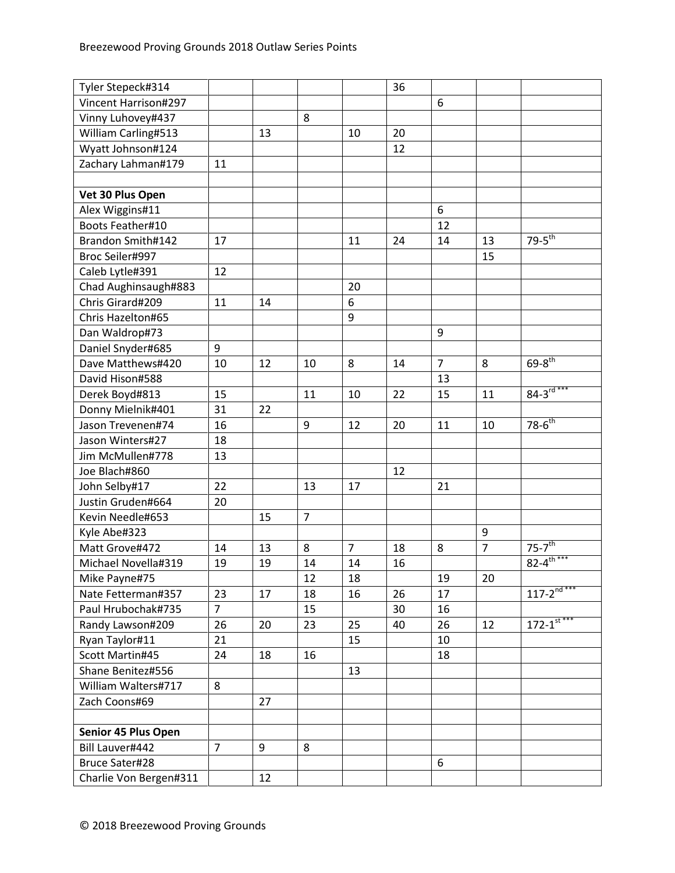| Tyler Stepeck#314      |                |    |                |                | 36 |                |                |                              |
|------------------------|----------------|----|----------------|----------------|----|----------------|----------------|------------------------------|
| Vincent Harrison#297   |                |    |                |                |    | 6              |                |                              |
| Vinny Luhovey#437      |                |    | 8              |                |    |                |                |                              |
| William Carling#513    |                | 13 |                | 10             | 20 |                |                |                              |
| Wyatt Johnson#124      |                |    |                |                | 12 |                |                |                              |
| Zachary Lahman#179     | 11             |    |                |                |    |                |                |                              |
|                        |                |    |                |                |    |                |                |                              |
| Vet 30 Plus Open       |                |    |                |                |    |                |                |                              |
| Alex Wiggins#11        |                |    |                |                |    | 6              |                |                              |
| Boots Feather#10       |                |    |                |                |    | 12             |                |                              |
| Brandon Smith#142      | 17             |    |                | 11             | 24 | 14             | 13             | $79-5^{\text{th}}$           |
| Broc Seiler#997        |                |    |                |                |    |                | 15             |                              |
| Caleb Lytle#391        | 12             |    |                |                |    |                |                |                              |
| Chad Aughinsaugh#883   |                |    |                | 20             |    |                |                |                              |
| Chris Girard#209       | 11             | 14 |                | 6              |    |                |                |                              |
| Chris Hazelton#65      |                |    |                | 9              |    |                |                |                              |
| Dan Waldrop#73         |                |    |                |                |    | 9              |                |                              |
| Daniel Snyder#685      | 9              |    |                |                |    |                |                |                              |
| Dave Matthews#420      | 10             | 12 | 10             | 8              | 14 | $\overline{7}$ | 8              | $69 - 8^{th}$                |
| David Hison#588        |                |    |                |                |    | 13             |                |                              |
| Derek Boyd#813         | 15             |    | 11             | 10             | 22 | 15             | 11             | $84 - 3^{rd***}$             |
| Donny Mielnik#401      | 31             | 22 |                |                |    |                |                |                              |
| Jason Trevenen#74      | 16             |    | 9              | 12             | 20 | 11             | 10             | $78-6^{th}$                  |
| Jason Winters#27       | 18             |    |                |                |    |                |                |                              |
| Jim McMullen#778       | 13             |    |                |                |    |                |                |                              |
| Joe Blach#860          |                |    |                |                | 12 |                |                |                              |
| John Selby#17          | 22             |    | 13             | 17             |    | 21             |                |                              |
| Justin Gruden#664      | 20             |    |                |                |    |                |                |                              |
| Kevin Needle#653       |                | 15 | $\overline{7}$ |                |    |                |                |                              |
| Kyle Abe#323           |                |    |                |                |    |                | 9              |                              |
| Matt Grove#472         | 14             | 13 | 8              | $\overline{7}$ | 18 | 8              | $\overline{7}$ | $75 - 7$ <sup>th</sup>       |
| Michael Novella#319    | 19             | 19 | 14             | 14             | 16 |                |                | $82 - 4^{\frac{1}{10} + **}$ |
| Mike Payne#75          |                |    | 12             | 18             |    | 19             | 20             |                              |
| Nate Fetterman#357     | 23             | 17 | 18             | 16             | 26 | 17             |                | $117 - 2^{nd***}$            |
| Paul Hrubochak#735     | $\overline{7}$ |    | 15             |                | 30 | 16             |                |                              |
| Randy Lawson#209       | 26             | 20 | 23             | 25             | 40 | 26             | 12             | $172 - 1$ <sup>st ***</sup>  |
| Ryan Taylor#11         | 21             |    |                | 15             |    | 10             |                |                              |
| Scott Martin#45        | 24             | 18 | 16             |                |    | 18             |                |                              |
| Shane Benitez#556      |                |    |                | 13             |    |                |                |                              |
| William Walters#717    | 8              |    |                |                |    |                |                |                              |
| Zach Coons#69          |                | 27 |                |                |    |                |                |                              |
|                        |                |    |                |                |    |                |                |                              |
| Senior 45 Plus Open    |                |    |                |                |    |                |                |                              |
| Bill Lauver#442        | $\overline{7}$ | 9  | 8              |                |    |                |                |                              |
| <b>Bruce Sater#28</b>  |                |    |                |                |    | 6              |                |                              |
| Charlie Von Bergen#311 |                | 12 |                |                |    |                |                |                              |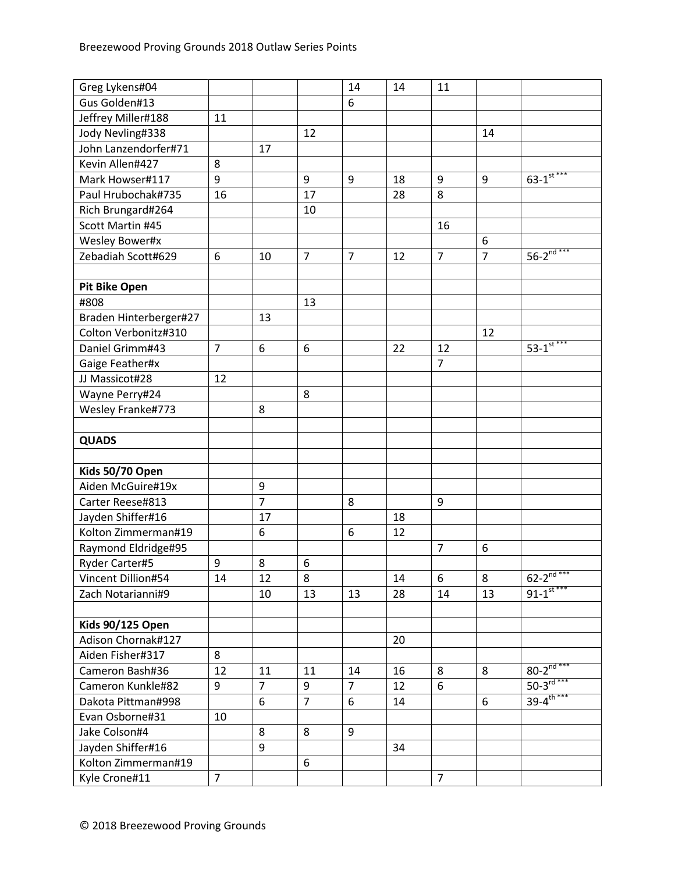| Gus Golden#13<br>6<br>Jeffrey Miller#188<br>11<br>Jody Nevling#338<br>12<br>14<br>John Lanzendorfer#71<br>17<br>Kevin Allen#427<br>8<br>$63 - 1$ <sup>st ***</sup><br>9<br>9<br>9<br>9<br>$\boldsymbol{9}$<br>Mark Howser#117<br>18<br>17<br>8<br>Paul Hrubochak#735<br>16<br>28<br>Rich Brungard#264<br>10<br>Scott Martin #45<br>16<br><b>Wesley Bower#x</b><br>6<br>$56 - 2^{nd***}$<br>$\overline{7}$<br>$\overline{7}$<br>$\overline{7}$<br>Zebadiah Scott#629<br>6<br>$\overline{7}$<br>10<br>12<br><b>Pit Bike Open</b><br>#808<br>13<br>Braden Hinterberger#27<br>13<br>Colton Verbonitz#310<br>12<br>$53 - 1$ st ***<br>Daniel Grimm#43<br>$\overline{7}$<br>6<br>6<br>12<br>22<br>$\overline{7}$<br>Gaige Feather#x<br>JJ Massicot#28<br>12<br>Wayne Perry#24<br>8<br>Wesley Franke#773<br>8<br><b>QUADS</b><br>Kids 50/70 Open<br>Aiden McGuire#19x<br>9<br>$\overline{7}$<br>Carter Reese#813<br>8<br>9 |
|---------------------------------------------------------------------------------------------------------------------------------------------------------------------------------------------------------------------------------------------------------------------------------------------------------------------------------------------------------------------------------------------------------------------------------------------------------------------------------------------------------------------------------------------------------------------------------------------------------------------------------------------------------------------------------------------------------------------------------------------------------------------------------------------------------------------------------------------------------------------------------------------------------------------|
|                                                                                                                                                                                                                                                                                                                                                                                                                                                                                                                                                                                                                                                                                                                                                                                                                                                                                                                     |
|                                                                                                                                                                                                                                                                                                                                                                                                                                                                                                                                                                                                                                                                                                                                                                                                                                                                                                                     |
|                                                                                                                                                                                                                                                                                                                                                                                                                                                                                                                                                                                                                                                                                                                                                                                                                                                                                                                     |
|                                                                                                                                                                                                                                                                                                                                                                                                                                                                                                                                                                                                                                                                                                                                                                                                                                                                                                                     |
|                                                                                                                                                                                                                                                                                                                                                                                                                                                                                                                                                                                                                                                                                                                                                                                                                                                                                                                     |
|                                                                                                                                                                                                                                                                                                                                                                                                                                                                                                                                                                                                                                                                                                                                                                                                                                                                                                                     |
|                                                                                                                                                                                                                                                                                                                                                                                                                                                                                                                                                                                                                                                                                                                                                                                                                                                                                                                     |
|                                                                                                                                                                                                                                                                                                                                                                                                                                                                                                                                                                                                                                                                                                                                                                                                                                                                                                                     |
|                                                                                                                                                                                                                                                                                                                                                                                                                                                                                                                                                                                                                                                                                                                                                                                                                                                                                                                     |
|                                                                                                                                                                                                                                                                                                                                                                                                                                                                                                                                                                                                                                                                                                                                                                                                                                                                                                                     |
|                                                                                                                                                                                                                                                                                                                                                                                                                                                                                                                                                                                                                                                                                                                                                                                                                                                                                                                     |
|                                                                                                                                                                                                                                                                                                                                                                                                                                                                                                                                                                                                                                                                                                                                                                                                                                                                                                                     |
|                                                                                                                                                                                                                                                                                                                                                                                                                                                                                                                                                                                                                                                                                                                                                                                                                                                                                                                     |
|                                                                                                                                                                                                                                                                                                                                                                                                                                                                                                                                                                                                                                                                                                                                                                                                                                                                                                                     |
|                                                                                                                                                                                                                                                                                                                                                                                                                                                                                                                                                                                                                                                                                                                                                                                                                                                                                                                     |
|                                                                                                                                                                                                                                                                                                                                                                                                                                                                                                                                                                                                                                                                                                                                                                                                                                                                                                                     |
|                                                                                                                                                                                                                                                                                                                                                                                                                                                                                                                                                                                                                                                                                                                                                                                                                                                                                                                     |
|                                                                                                                                                                                                                                                                                                                                                                                                                                                                                                                                                                                                                                                                                                                                                                                                                                                                                                                     |
|                                                                                                                                                                                                                                                                                                                                                                                                                                                                                                                                                                                                                                                                                                                                                                                                                                                                                                                     |
|                                                                                                                                                                                                                                                                                                                                                                                                                                                                                                                                                                                                                                                                                                                                                                                                                                                                                                                     |
|                                                                                                                                                                                                                                                                                                                                                                                                                                                                                                                                                                                                                                                                                                                                                                                                                                                                                                                     |
|                                                                                                                                                                                                                                                                                                                                                                                                                                                                                                                                                                                                                                                                                                                                                                                                                                                                                                                     |
|                                                                                                                                                                                                                                                                                                                                                                                                                                                                                                                                                                                                                                                                                                                                                                                                                                                                                                                     |
|                                                                                                                                                                                                                                                                                                                                                                                                                                                                                                                                                                                                                                                                                                                                                                                                                                                                                                                     |
|                                                                                                                                                                                                                                                                                                                                                                                                                                                                                                                                                                                                                                                                                                                                                                                                                                                                                                                     |
|                                                                                                                                                                                                                                                                                                                                                                                                                                                                                                                                                                                                                                                                                                                                                                                                                                                                                                                     |
|                                                                                                                                                                                                                                                                                                                                                                                                                                                                                                                                                                                                                                                                                                                                                                                                                                                                                                                     |
| Jayden Shiffer#16<br>17<br>18                                                                                                                                                                                                                                                                                                                                                                                                                                                                                                                                                                                                                                                                                                                                                                                                                                                                                       |
| Kolton Zimmerman#19<br>6<br>12<br>6                                                                                                                                                                                                                                                                                                                                                                                                                                                                                                                                                                                                                                                                                                                                                                                                                                                                                 |
| $\overline{7}$<br>6<br>Raymond Eldridge#95                                                                                                                                                                                                                                                                                                                                                                                                                                                                                                                                                                                                                                                                                                                                                                                                                                                                          |
| Ryder Carter#5<br>6<br>9<br>8                                                                                                                                                                                                                                                                                                                                                                                                                                                                                                                                                                                                                                                                                                                                                                                                                                                                                       |
| $62 - 2^{\overline{nd}***}$<br>Vincent Dillion#54<br>14<br>12<br>8<br>14<br>6<br>8                                                                                                                                                                                                                                                                                                                                                                                                                                                                                                                                                                                                                                                                                                                                                                                                                                  |
| $91 - 1$ <sup>st ***</sup><br>28<br>10<br>13<br>13<br>Zach Notarianni#9<br>13<br>14                                                                                                                                                                                                                                                                                                                                                                                                                                                                                                                                                                                                                                                                                                                                                                                                                                 |
|                                                                                                                                                                                                                                                                                                                                                                                                                                                                                                                                                                                                                                                                                                                                                                                                                                                                                                                     |
| <b>Kids 90/125 Open</b>                                                                                                                                                                                                                                                                                                                                                                                                                                                                                                                                                                                                                                                                                                                                                                                                                                                                                             |
| Adison Chornak#127<br>20                                                                                                                                                                                                                                                                                                                                                                                                                                                                                                                                                                                                                                                                                                                                                                                                                                                                                            |
| Aiden Fisher#317<br>8                                                                                                                                                                                                                                                                                                                                                                                                                                                                                                                                                                                                                                                                                                                                                                                                                                                                                               |
| $80 - 2^{\overline{nd}***}$<br>Cameron Bash#36<br>12<br>11<br>8<br>8<br>11<br>14<br>16                                                                                                                                                                                                                                                                                                                                                                                                                                                                                                                                                                                                                                                                                                                                                                                                                              |
| $50 - 3^{rd***}$<br>$\overline{7}$<br>9<br>$\overline{7}$<br>Cameron Kunkle#82<br>9<br>12<br>6                                                                                                                                                                                                                                                                                                                                                                                                                                                                                                                                                                                                                                                                                                                                                                                                                      |
| $39 - 4^{\text{th}***}$<br>$\overline{7}$<br>6<br>6<br>6<br>Dakota Pittman#998<br>14                                                                                                                                                                                                                                                                                                                                                                                                                                                                                                                                                                                                                                                                                                                                                                                                                                |
| Evan Osborne#31<br>10                                                                                                                                                                                                                                                                                                                                                                                                                                                                                                                                                                                                                                                                                                                                                                                                                                                                                               |
| Jake Colson#4<br>8<br>8<br>9                                                                                                                                                                                                                                                                                                                                                                                                                                                                                                                                                                                                                                                                                                                                                                                                                                                                                        |
| Jayden Shiffer#16<br>9<br>34                                                                                                                                                                                                                                                                                                                                                                                                                                                                                                                                                                                                                                                                                                                                                                                                                                                                                        |
| Kolton Zimmerman#19<br>6                                                                                                                                                                                                                                                                                                                                                                                                                                                                                                                                                                                                                                                                                                                                                                                                                                                                                            |
| Kyle Crone#11<br>$\overline{7}$<br>$\overline{7}$                                                                                                                                                                                                                                                                                                                                                                                                                                                                                                                                                                                                                                                                                                                                                                                                                                                                   |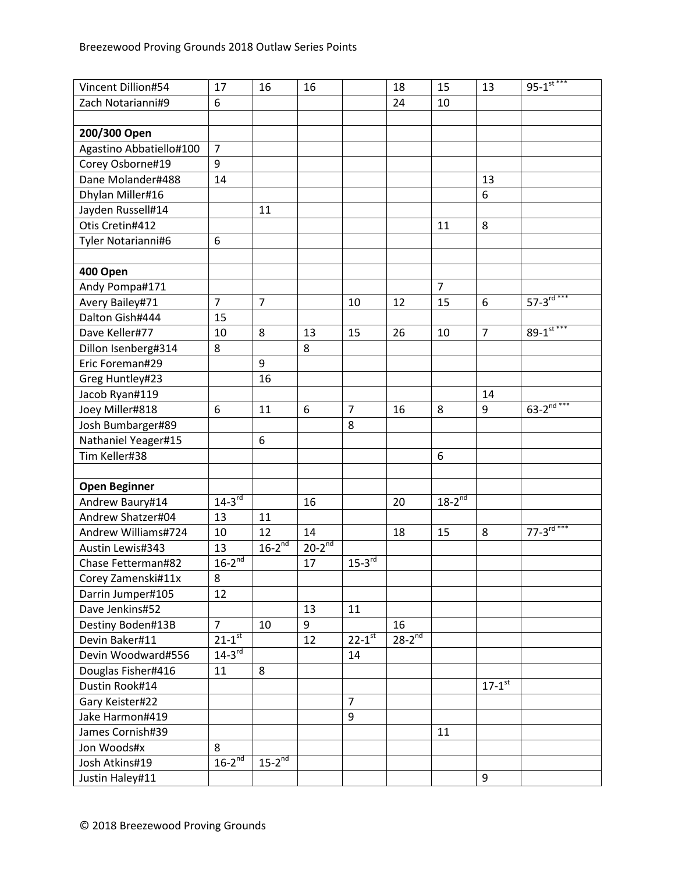| Vincent Dillion#54      | 17                     | 16             | 16          |                        | 18          | 15             | 13                   | $95 - 1$ <sup>st ***</sup> |
|-------------------------|------------------------|----------------|-------------|------------------------|-------------|----------------|----------------------|----------------------------|
| Zach Notarianni#9       | 6                      |                |             |                        | 24          | 10             |                      |                            |
|                         |                        |                |             |                        |             |                |                      |                            |
| 200/300 Open            |                        |                |             |                        |             |                |                      |                            |
| Agastino Abbatiello#100 | $\overline{7}$         |                |             |                        |             |                |                      |                            |
| Corey Osborne#19        | $\boldsymbol{9}$       |                |             |                        |             |                |                      |                            |
| Dane Molander#488       | 14                     |                |             |                        |             |                | 13                   |                            |
| Dhylan Miller#16        |                        |                |             |                        |             |                | 6                    |                            |
| Jayden Russell#14       |                        | 11             |             |                        |             |                |                      |                            |
| Otis Cretin#412         |                        |                |             |                        |             | 11             | 8                    |                            |
| Tyler Notarianni#6      | 6                      |                |             |                        |             |                |                      |                            |
|                         |                        |                |             |                        |             |                |                      |                            |
| 400 Open                |                        |                |             |                        |             |                |                      |                            |
| Andy Pompa#171          |                        |                |             |                        |             | $\overline{7}$ |                      |                            |
| Avery Bailey#71         | $\overline{7}$         | $\overline{7}$ |             | 10                     | 12          | 15             | 6                    | $57 - 3^{rd***}$           |
| Dalton Gish#444         | 15                     |                |             |                        |             |                |                      |                            |
| Dave Keller#77          | 10                     | 8              | 13          | 15                     | 26          | 10             | $\overline{7}$       | $89 - 1$ <sup>st ***</sup> |
| Dillon Isenberg#314     | 8                      |                | 8           |                        |             |                |                      |                            |
| Eric Foreman#29         |                        | 9              |             |                        |             |                |                      |                            |
| Greg Huntley#23         |                        | 16             |             |                        |             |                |                      |                            |
| Jacob Ryan#119          |                        |                |             |                        |             |                | 14                   |                            |
| Joey Miller#818         | 6                      | 11             | 6           | $\overline{7}$         | 16          | 8              | 9                    | $63 - 2^{\frac{1}{nd}***}$ |
| Josh Bumbarger#89       |                        |                |             | 8                      |             |                |                      |                            |
| Nathaniel Yeager#15     |                        | 6              |             |                        |             |                |                      |                            |
| Tim Keller#38           |                        |                |             |                        |             | 6              |                      |                            |
|                         |                        |                |             |                        |             |                |                      |                            |
| <b>Open Beginner</b>    |                        |                |             |                        |             |                |                      |                            |
| Andrew Baury#14         | $14-3^{rd}$            |                | 16          |                        | 20          | $18-2^{nd}$    |                      |                            |
| Andrew Shatzer#04       | 13                     | 11             |             |                        |             |                |                      |                            |
| Andrew Williams#724     | 10                     | 12             | 14          |                        | 18          | 15             | 8                    | $77 - 3^{rd***}$           |
| Austin Lewis#343        | 13                     | $16-2^{nd}$    | $20-2^{nd}$ |                        |             |                |                      |                            |
| Chase Fetterman#82      | $16-2^{nd}$            |                | 17          | $15-3^{rd}$            |             |                |                      |                            |
| Corey Zamenski#11x      | 8                      |                |             |                        |             |                |                      |                            |
| Darrin Jumper#105       | 12                     |                |             |                        |             |                |                      |                            |
| Dave Jenkins#52         |                        |                | 13          | 11                     |             |                |                      |                            |
| Destiny Boden#13B       | $\overline{7}$         | 10             | 9           |                        | 16          |                |                      |                            |
| Devin Baker#11          | $21 - 1$ <sup>st</sup> |                | 12          | $22 - 1$ <sup>st</sup> | $28-2^{nd}$ |                |                      |                            |
| Devin Woodward#556      | $14-3$ <sup>rd</sup>   |                |             | 14                     |             |                |                      |                            |
| Douglas Fisher#416      | 11                     | 8              |             |                        |             |                |                      |                            |
| Dustin Rook#14          |                        |                |             |                        |             |                | $17-1$ <sup>st</sup> |                            |
| Gary Keister#22         |                        |                |             | $\overline{7}$         |             |                |                      |                            |
| Jake Harmon#419         |                        |                |             | 9                      |             |                |                      |                            |
| James Cornish#39        |                        |                |             |                        |             | 11             |                      |                            |
| Jon Woods#x             | 8                      |                |             |                        |             |                |                      |                            |
| Josh Atkins#19          | $16-2^{nd}$            | $15-2^{nd}$    |             |                        |             |                |                      |                            |
| Justin Haley#11         |                        |                |             |                        |             |                | 9                    |                            |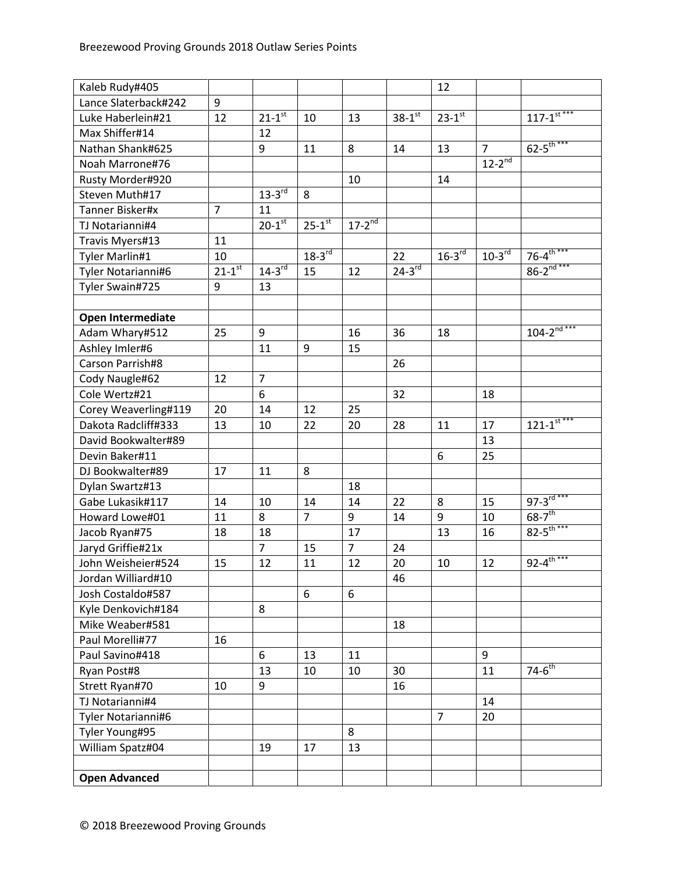| Kaleb Rudy#405       |                        |                        |                      |                          |             | 12                   |                          |                              |
|----------------------|------------------------|------------------------|----------------------|--------------------------|-------------|----------------------|--------------------------|------------------------------|
| Lance Slaterback#242 | 9                      |                        |                      |                          |             |                      |                          |                              |
| Luke Haberlein#21    | 12                     | $21 - 1^{st}$          | 10                   | 13                       | $38 - 1$ st | $23-1$ st            |                          | $117 - 1$ <sup>st ***</sup>  |
| Max Shiffer#14       |                        | 12                     |                      |                          |             |                      |                          |                              |
| Nathan Shank#625     |                        | 9                      | 11                   | 8                        | 14          | 13                   | $\overline{7}$           | $62 - 5$ <sup>th***</sup>    |
| Noah Marrone#76      |                        |                        |                      |                          |             |                      | $12 - 2^{\overline{nd}}$ |                              |
| Rusty Morder#920     |                        |                        |                      | 10                       |             | 14                   |                          |                              |
| Steven Muth#17       |                        | $13-3$ <sup>rd</sup>   | 8                    |                          |             |                      |                          |                              |
| Tanner Bisker#x      | $\overline{7}$         | 11                     |                      |                          |             |                      |                          |                              |
| TJ Notarianni#4      |                        | $20 - 1$ <sup>st</sup> | $25-1$ <sup>st</sup> | $17 - 2^{\overline{nd}}$ |             |                      |                          |                              |
| Travis Myers#13      | 11                     |                        |                      |                          |             |                      |                          |                              |
| Tyler Marlin#1       | 10                     |                        | $18-3$ <sup>rd</sup> |                          | 22          | $16-3$ <sup>rd</sup> | $10-3^{rd}$              | $76 - 4^{\text{th}***}$      |
| Tyler Notarianni#6   | $21 - 1$ <sup>st</sup> | $14-3$ <sup>rd</sup>   | 15                   | 12                       | $24-3^{rd}$ |                      |                          | $86 - 2^{\frac{1}{nd***}}$   |
| Tyler Swain#725      | 9                      | 13                     |                      |                          |             |                      |                          |                              |
|                      |                        |                        |                      |                          |             |                      |                          |                              |
| Open Intermediate    |                        |                        |                      |                          |             |                      |                          |                              |
| Adam Whary#512       | 25                     | 9                      |                      | 16                       | 36          | 18                   |                          | $104 - 2^{\overline{nd}***}$ |
| Ashley Imler#6       |                        | 11                     | 9                    | 15                       |             |                      |                          |                              |
| Carson Parrish#8     |                        |                        |                      |                          | 26          |                      |                          |                              |
| Cody Naugle#62       | 12                     | $\overline{7}$         |                      |                          |             |                      |                          |                              |
| Cole Wertz#21        |                        | 6                      |                      |                          | 32          |                      | 18                       |                              |
| Corey Weaverling#119 | 20                     | 14                     | 12                   | 25                       |             |                      |                          |                              |
| Dakota Radcliff#333  | 13                     | 10                     | 22                   | 20                       | 28          | 11                   | 17                       | $121 - 1$ <sup>st ***</sup>  |
| David Bookwalter#89  |                        |                        |                      |                          |             |                      | 13                       |                              |
| Devin Baker#11       |                        |                        |                      |                          |             | 6                    | 25                       |                              |
| DJ Bookwalter#89     | 17                     | 11                     | 8                    |                          |             |                      |                          |                              |
| Dylan Swartz#13      |                        |                        |                      | 18                       |             |                      |                          |                              |
| Gabe Lukasik#117     | 14                     | 10                     | 14                   | 14                       | 22          | 8                    | 15                       | $97 - 3^{rd***}$             |
| Howard Lowe#01       | 11                     | 8                      | $\overline{7}$       | 9                        | 14          | 9                    | 10                       | $68 - 7$ <sup>th</sup>       |
| Jacob Ryan#75        | 18                     | 18                     |                      | 17                       |             | 13                   | 16                       | $82 - 5$ <sup>th ***</sup>   |
| Jaryd Griffie#21x    |                        | $\overline{7}$         | 15                   | $\overline{7}$           | 24          |                      |                          |                              |
| John Weisheier#524   | 15                     | 12                     | 11                   | 12                       | 20          | 10                   | 12                       | $92 - 4^{\text{th}***}$      |
| Jordan Williard#10   |                        |                        |                      |                          | 46          |                      |                          |                              |
| Josh Costaldo#587    |                        |                        | 6                    | 6                        |             |                      |                          |                              |
| Kyle Denkovich#184   |                        | 8                      |                      |                          |             |                      |                          |                              |
| Mike Weaber#581      |                        |                        |                      |                          | 18          |                      |                          |                              |
| Paul Morelli#77      | 16                     |                        |                      |                          |             |                      |                          |                              |
| Paul Savino#418      |                        | 6                      | 13                   | 11                       |             |                      | 9                        |                              |
| Ryan Post#8          |                        | 13                     | 10                   | 10                       | 30          |                      | 11                       | $74-6$ <sup>th</sup>         |
| Strett Ryan#70       | 10                     | 9                      |                      |                          | 16          |                      |                          |                              |
| TJ Notarianni#4      |                        |                        |                      |                          |             |                      | 14                       |                              |
| Tyler Notarianni#6   |                        |                        |                      |                          |             | $\overline{7}$       | 20                       |                              |
| Tyler Young#95       |                        |                        |                      | 8                        |             |                      |                          |                              |
| William Spatz#04     |                        | 19                     | 17                   | 13                       |             |                      |                          |                              |
|                      |                        |                        |                      |                          |             |                      |                          |                              |
| <b>Open Advanced</b> |                        |                        |                      |                          |             |                      |                          |                              |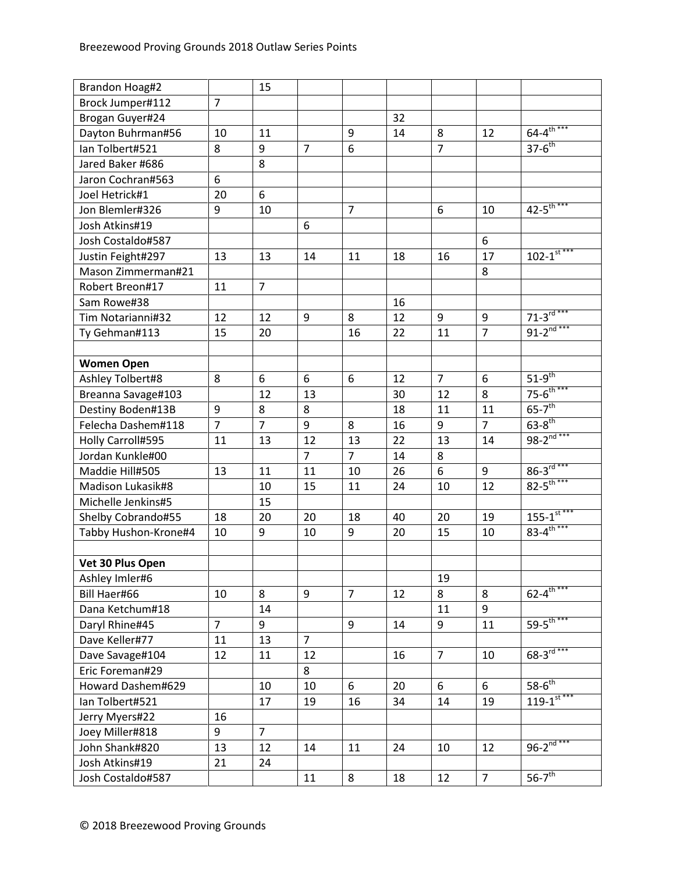| Brandon Hoag#2       |                  | 15             |                |                |    |                |                |                             |
|----------------------|------------------|----------------|----------------|----------------|----|----------------|----------------|-----------------------------|
| Brock Jumper#112     | $\overline{7}$   |                |                |                |    |                |                |                             |
| Brogan Guyer#24      |                  |                |                |                | 32 |                |                |                             |
| Dayton Buhrman#56    | 10               | 11             |                | 9              | 14 | 8              | 12             | $64 - 4^{\frac{1}{10}***}$  |
| Ian Tolbert#521      | 8                | 9              | $\overline{7}$ | 6              |    | $\overline{7}$ |                | $37-6^{th}$                 |
| Jared Baker #686     |                  | 8              |                |                |    |                |                |                             |
| Jaron Cochran#563    | 6                |                |                |                |    |                |                |                             |
| Joel Hetrick#1       | 20               | 6              |                |                |    |                |                |                             |
| Jon Blemler#326      | $\boldsymbol{9}$ | 10             |                | $\overline{7}$ |    | 6              | 10             | $42 - 5$ <sup>th ***</sup>  |
| Josh Atkins#19       |                  |                | 6              |                |    |                |                |                             |
| Josh Costaldo#587    |                  |                |                |                |    |                | 6              |                             |
| Justin Feight#297    | 13               | 13             | 14             | 11             | 18 | 16             | 17             | $102 - 1$ <sup>st ***</sup> |
| Mason Zimmerman#21   |                  |                |                |                |    |                | 8              |                             |
| Robert Breon#17      | 11               | $\overline{7}$ |                |                |    |                |                |                             |
| Sam Rowe#38          |                  |                |                |                | 16 |                |                |                             |
| Tim Notarianni#32    | 12               | 12             | 9              | 8              | 12 | 9              | 9              | $71 - 3^{rd***}$            |
| Ty Gehman#113        | 15               | 20             |                | 16             | 22 | 11             | $\overline{7}$ | $91 - 2^{nd***}$            |
|                      |                  |                |                |                |    |                |                |                             |
| <b>Women Open</b>    |                  |                |                |                |    |                |                |                             |
| Ashley Tolbert#8     | 8                | 6              | 6              | 6              | 12 | $\overline{7}$ | 6              | $51-9^{th}$                 |
| Breanna Savage#103   |                  | 12             | 13             |                | 30 | 12             | 8              | $75 - 6^{th***}$            |
| Destiny Boden#13B    | $\boldsymbol{9}$ | 8              | 8              |                | 18 | 11             | 11             | $65-7$ <sup>th</sup>        |
| Felecha Dashem#118   | $\overline{7}$   | $\overline{7}$ | 9              | 8              | 16 | 9              | $\overline{7}$ | $63 - 8$ <sup>th</sup>      |
| Holly Carroll#595    | 11               | 13             | 12             | 13             | 22 | 13             | 14             | $98 - 2^{nd***}$            |
| Jordan Kunkle#00     |                  |                | $\overline{7}$ | $\overline{7}$ | 14 | 8              |                |                             |
| Maddie Hill#505      | 13               | 11             | 11             | 10             | 26 | 6              | 9              | $86 - 3^{rd***}$            |
| Madison Lukasik#8    |                  | 10             | 15             | 11             | 24 | 10             | 12             | $82 - 5^{th***}$            |
| Michelle Jenkins#5   |                  | 15             |                |                |    |                |                |                             |
| Shelby Cobrando#55   | 18               | 20             | 20             | 18             | 40 | 20             | 19             | $155 - 1$ <sup>st***</sup>  |
| Tabby Hushon-Krone#4 | 10               | 9              | 10             | 9              | 20 | 15             | 10             | $83 - 4^{\text{th***}}$     |
|                      |                  |                |                |                |    |                |                |                             |
| Vet 30 Plus Open     |                  |                |                |                |    |                |                |                             |
| Ashley Imler#6       |                  |                |                |                |    | 19             |                |                             |
| Bill Haer#66         | 10               | 8              | 9              | $\overline{7}$ | 12 | 8              | 8              | $62 - 4^{\text{th}***}$     |
| Dana Ketchum#18      |                  | 14             |                |                |    | 11             | 9              |                             |
| Daryl Rhine#45       | $\overline{7}$   | 9              |                | 9              | 14 | 9              | 11             | $59 - 5$ <sup>th***</sup>   |
| Dave Keller#77       | 11               | 13             | $\overline{7}$ |                |    |                |                |                             |
| Dave Savage#104      | 12               | 11             | 12             |                | 16 | $\overline{7}$ | 10             | $68 - 3^{rd***}$            |
| Eric Foreman#29      |                  |                | 8              |                |    |                |                |                             |
| Howard Dashem#629    |                  | 10             | 10             | 6              | 20 | 6              | 6              | $58-6^{th}$                 |
| Ian Tolbert#521      |                  | 17             | 19             | 16             | 34 | 14             | 19             | $119 - 1$ <sup>st ***</sup> |
| Jerry Myers#22       | 16               |                |                |                |    |                |                |                             |
| Joey Miller#818      | 9                | $\overline{7}$ |                |                |    |                |                |                             |
| John Shank#820       | 13               | 12             | 14             | 11             | 24 | 10             | 12             | $96 - 2^{nd***}$            |
| Josh Atkins#19       | 21               | 24             |                |                |    |                |                |                             |
| Josh Costaldo#587    |                  |                | 11             | 8              | 18 | 12             | $\overline{7}$ | $56-7$ <sup>th</sup>        |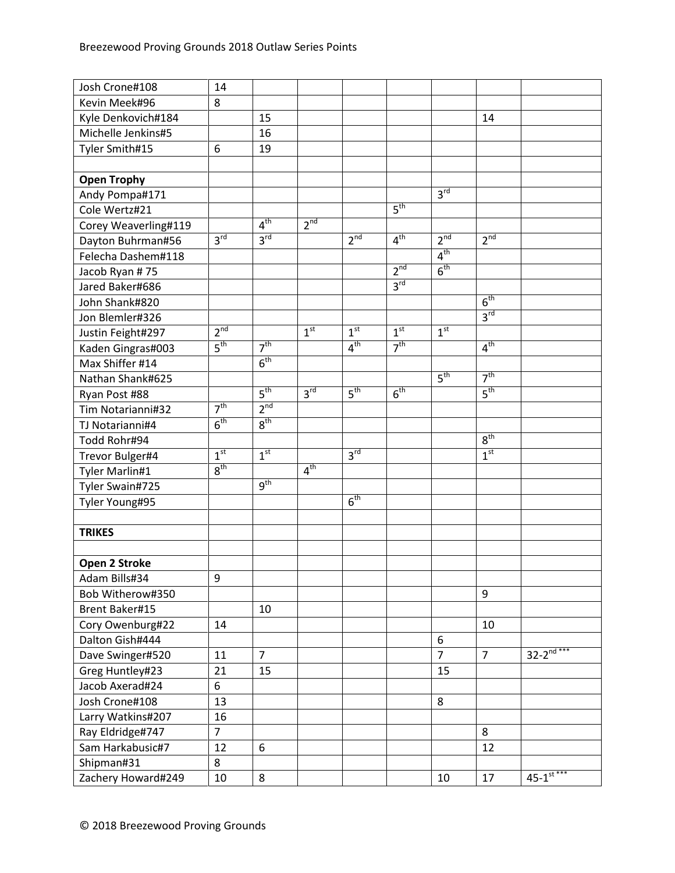| Josh Crone#108       | 14              |                 |                 |                 |                 |                  |                 |                            |
|----------------------|-----------------|-----------------|-----------------|-----------------|-----------------|------------------|-----------------|----------------------------|
| Kevin Meek#96        | 8               |                 |                 |                 |                 |                  |                 |                            |
| Kyle Denkovich#184   |                 | 15              |                 |                 |                 |                  | 14              |                            |
| Michelle Jenkins#5   |                 | 16              |                 |                 |                 |                  |                 |                            |
| Tyler Smith#15       | 6               | 19              |                 |                 |                 |                  |                 |                            |
|                      |                 |                 |                 |                 |                 |                  |                 |                            |
| <b>Open Trophy</b>   |                 |                 |                 |                 |                 |                  |                 |                            |
| Andy Pompa#171       |                 |                 |                 |                 |                 | 3 <sup>rd</sup>  |                 |                            |
| Cole Wertz#21        |                 |                 |                 |                 | 5 <sup>th</sup> |                  |                 |                            |
| Corey Weaverling#119 |                 | 4 <sup>th</sup> | 2 <sup>nd</sup> |                 |                 |                  |                 |                            |
| Dayton Buhrman#56    | $3^{\text{rd}}$ | $3^{\text{rd}}$ |                 | 2 <sup>nd</sup> | 4 <sup>th</sup> | 2 <sup>nd</sup>  | 2 <sup>nd</sup> |                            |
| Felecha Dashem#118   |                 |                 |                 |                 |                 | 4 <sup>th</sup>  |                 |                            |
| Jacob Ryan #75       |                 |                 |                 |                 | 2 <sup>nd</sup> | 6 <sup>th</sup>  |                 |                            |
| Jared Baker#686      |                 |                 |                 |                 | 3 <sup>rd</sup> |                  |                 |                            |
| John Shank#820       |                 |                 |                 |                 |                 |                  | 6 <sup>th</sup> |                            |
| Jon Blemler#326      |                 |                 |                 |                 |                 |                  | $3^{\text{rd}}$ |                            |
| Justin Feight#297    | $2^{nd}$        |                 | 1 <sup>st</sup> | 1 <sup>st</sup> | 1 <sup>st</sup> | 1 <sup>st</sup>  |                 |                            |
| Kaden Gingras#003    | 5 <sup>th</sup> | 7 <sup>th</sup> |                 | 4 <sup>th</sup> | 7 <sup>th</sup> |                  | 4 <sup>th</sup> |                            |
| Max Shiffer #14      |                 | 6 <sup>th</sup> |                 |                 |                 |                  |                 |                            |
| Nathan Shank#625     |                 |                 |                 |                 |                 | 5 <sup>th</sup>  | 7 <sup>th</sup> |                            |
| Ryan Post #88        |                 | 5 <sup>th</sup> | 3 <sup>rd</sup> | 5 <sup>th</sup> | 6 <sup>th</sup> |                  | 5 <sup>th</sup> |                            |
| Tim Notarianni#32    | 7 <sup>th</sup> | 2 <sup>nd</sup> |                 |                 |                 |                  |                 |                            |
| TJ Notarianni#4      | 6 <sup>th</sup> | 8 <sup>th</sup> |                 |                 |                 |                  |                 |                            |
| Todd Rohr#94         |                 |                 |                 |                 |                 |                  | 8 <sup>th</sup> |                            |
| Trevor Bulger#4      | 1 <sup>st</sup> | 1 <sup>st</sup> |                 | 3 <sup>rd</sup> |                 |                  | 1 <sup>st</sup> |                            |
| Tyler Marlin#1       | 8 <sup>th</sup> |                 | 4 <sup>th</sup> |                 |                 |                  |                 |                            |
| Tyler Swain#725      |                 | g <sup>th</sup> |                 |                 |                 |                  |                 |                            |
| Tyler Young#95       |                 |                 |                 | 6 <sup>th</sup> |                 |                  |                 |                            |
|                      |                 |                 |                 |                 |                 |                  |                 |                            |
| <b>TRIKES</b>        |                 |                 |                 |                 |                 |                  |                 |                            |
|                      |                 |                 |                 |                 |                 |                  |                 |                            |
| Open 2 Stroke        |                 |                 |                 |                 |                 |                  |                 |                            |
| Adam Bills#34        | 9               |                 |                 |                 |                 |                  |                 |                            |
| Bob Witherow#350     |                 |                 |                 |                 |                 |                  | 9               |                            |
| Brent Baker#15       |                 | 10              |                 |                 |                 |                  |                 |                            |
| Cory Owenburg#22     | 14              |                 |                 |                 |                 |                  | 10              |                            |
| Dalton Gish#444      |                 |                 |                 |                 |                 | $\boldsymbol{6}$ |                 |                            |
| Dave Swinger#520     | 11              | $\overline{7}$  |                 |                 |                 | $\overline{7}$   | $\overline{7}$  | $32 - 2^{nd***}$           |
| Greg Huntley#23      | 21              | 15              |                 |                 |                 | 15               |                 |                            |
| Jacob Axerad#24      | 6               |                 |                 |                 |                 |                  |                 |                            |
| Josh Crone#108       | 13              |                 |                 |                 |                 | 8                |                 |                            |
| Larry Watkins#207    | 16              |                 |                 |                 |                 |                  |                 |                            |
| Ray Eldridge#747     | $\overline{7}$  |                 |                 |                 |                 |                  | 8               |                            |
| Sam Harkabusic#7     | 12              | 6               |                 |                 |                 |                  | 12              |                            |
| Shipman#31           | 8               |                 |                 |                 |                 |                  |                 |                            |
| Zachery Howard#249   | 10              | 8               |                 |                 |                 | 10               | 17              | $45 - 1$ <sup>st ***</sup> |
|                      |                 |                 |                 |                 |                 |                  |                 |                            |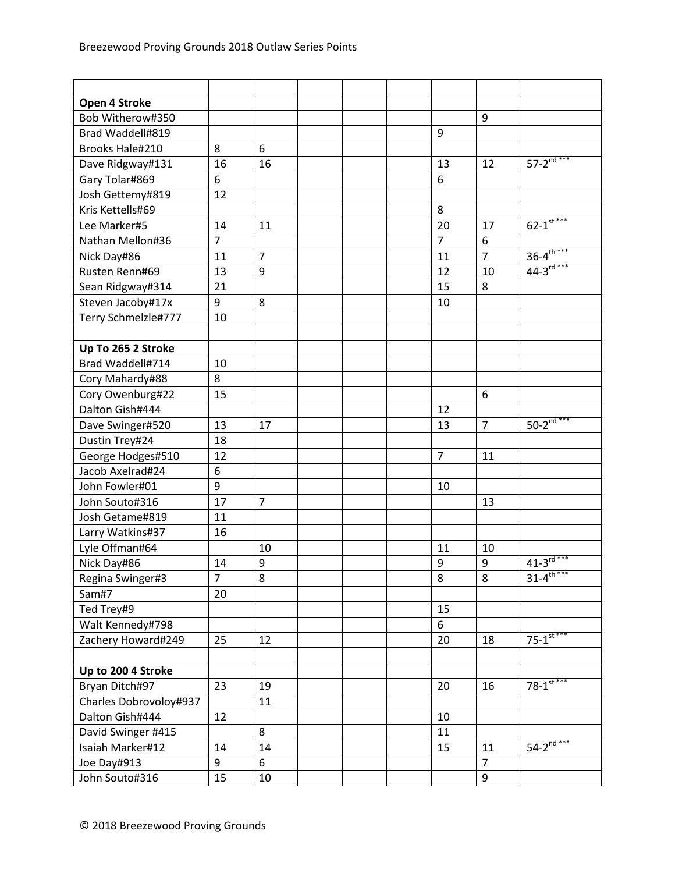| Open 4 Stroke          |                |                |  |                |                |                            |
|------------------------|----------------|----------------|--|----------------|----------------|----------------------------|
| Bob Witherow#350       |                |                |  |                | 9              |                            |
| Brad Waddell#819       |                |                |  | 9              |                |                            |
| <b>Brooks Hale#210</b> | 8              | 6              |  |                |                |                            |
| Dave Ridgway#131       | 16             | 16             |  | 13             | 12             | $57 - 2^{nd***}$           |
| Gary Tolar#869         | 6              |                |  | 6              |                |                            |
| Josh Gettemy#819       | 12             |                |  |                |                |                            |
| Kris Kettells#69       |                |                |  | 8              |                |                            |
| Lee Marker#5           | 14             | 11             |  | 20             | 17             | $62 - 1$ <sup>st ***</sup> |
| Nathan Mellon#36       | $\overline{7}$ |                |  | $\overline{7}$ | 6              |                            |
| Nick Day#86            | 11             | $\overline{7}$ |  | 11             | $\overline{7}$ | $36 - 4^{\text{th}***}$    |
| Rusten Renn#69         | 13             | 9              |  | 12             | 10             | $44-3^{rd***}$             |
| Sean Ridgway#314       | 21             |                |  | 15             | 8              |                            |
| Steven Jacoby#17x      | 9              | 8              |  | 10             |                |                            |
| Terry Schmelzle#777    | 10             |                |  |                |                |                            |
|                        |                |                |  |                |                |                            |
| Up To 265 2 Stroke     |                |                |  |                |                |                            |
| Brad Waddell#714       | 10             |                |  |                |                |                            |
| Cory Mahardy#88        | 8              |                |  |                |                |                            |
| Cory Owenburg#22       | 15             |                |  |                | 6              |                            |
| Dalton Gish#444        |                |                |  | 12             |                |                            |
| Dave Swinger#520       | 13             | 17             |  | 13             | $\overline{7}$ | $50 - 2^{nd***}$           |
| Dustin Trey#24         | 18             |                |  |                |                |                            |
| George Hodges#510      | 12             |                |  | $\overline{7}$ | 11             |                            |
| Jacob Axelrad#24       | 6              |                |  |                |                |                            |
| John Fowler#01         | 9              |                |  | 10             |                |                            |
| John Souto#316         | 17             | $\overline{7}$ |  |                | 13             |                            |
| Josh Getame#819        | 11             |                |  |                |                |                            |
| Larry Watkins#37       | 16             |                |  |                |                |                            |
| Lyle Offman#64         |                | 10             |  | 11             | 10             |                            |
| Nick Day#86            | 14             | 9              |  | $9\,$          | 9              | $41 - 3$ <sup>rd ***</sup> |
| Regina Swinger#3       | $\overline{7}$ | 8              |  | 8              | 8              | $31 - 4$ <sup>th</sup>     |
| Sam#7                  | 20             |                |  |                |                |                            |
| Ted Trey#9             |                |                |  | 15             |                |                            |
| Walt Kennedy#798       |                |                |  | 6              |                |                            |
| Zachery Howard#249     | 25             | 12             |  | 20             | 18             | $75 - 1$ <sup>st ***</sup> |
|                        |                |                |  |                |                |                            |
| Up to 200 4 Stroke     |                |                |  |                |                |                            |
| Bryan Ditch#97         | 23             | 19             |  | 20             | 16             | $78 - 1$ <sup>st ***</sup> |
| Charles Dobrovoloy#937 |                | 11             |  |                |                |                            |
| Dalton Gish#444        | 12             |                |  | 10             |                |                            |
| David Swinger #415     |                | 8              |  | 11             |                |                            |
| Isaiah Marker#12       | 14             | 14             |  | 15             | 11             | $54 - 2^{nd***}$           |
| Joe Day#913            | 9              | 6              |  |                | $\overline{7}$ |                            |
| John Souto#316         | 15             | 10             |  |                | 9              |                            |